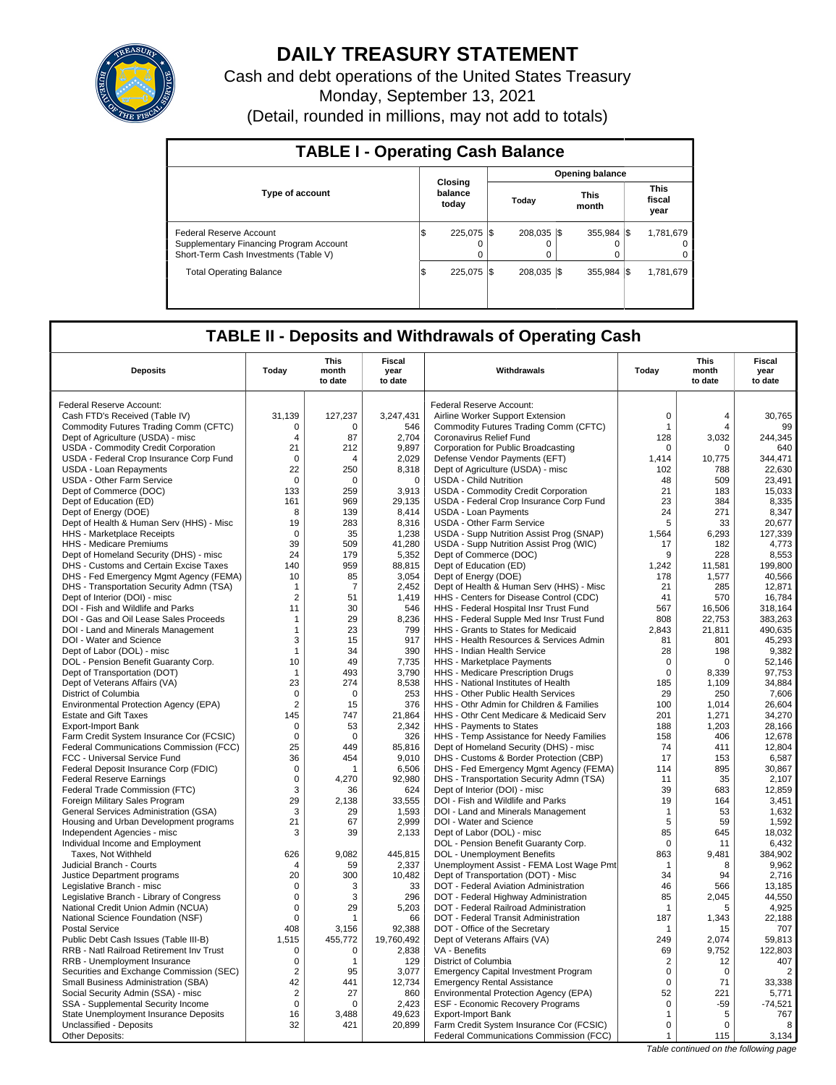

# **DAILY TREASURY STATEMENT**

Cash and debt operations of the United States Treasury Monday, September 13, 2021 (Detail, rounded in millions, may not add to totals)

| <b>TABLE I - Operating Cash Balance</b>                                                                     |     |                             |  |                  |  |                       |  |                               |  |
|-------------------------------------------------------------------------------------------------------------|-----|-----------------------------|--|------------------|--|-----------------------|--|-------------------------------|--|
|                                                                                                             |     |                             |  |                  |  | Opening balance       |  |                               |  |
| <b>Type of account</b>                                                                                      |     | Closing<br>balance<br>today |  | Today            |  | <b>This</b><br>month  |  | <b>This</b><br>fiscal<br>year |  |
| Federal Reserve Account<br>Supplementary Financing Program Account<br>Short-Term Cash Investments (Table V) | l\$ | 225,075 \$<br>$\Omega$      |  | 208.035 \\$<br>0 |  | 355.984 \\$<br>O<br>0 |  | 1.781.679<br>0                |  |
| <b>Total Operating Balance</b>                                                                              | l\$ | 225,075 \$                  |  | 208.035 \\$      |  | 355.984 \$            |  | 1,781,679                     |  |

## **TABLE II - Deposits and Withdrawals of Operating Cash**

| Federal Reserve Account:<br>Federal Reserve Account:<br>$\mathbf 0$<br>31,139<br>3,247,431<br>Cash FTD's Received (Table IV)<br>127,237<br>Airline Worker Support Extension<br>4<br>30.765<br>Commodity Futures Trading Comm (CFTC)<br>$\mathbf 0$<br>$\Omega$<br>546<br>Commodity Futures Trading Comm (CFTC)<br>$\mathbf{1}$<br>$\overline{4}$<br>99<br>87<br>3.032<br>244.345<br>Dept of Agriculture (USDA) - misc<br>2.704<br>Coronavirus Relief Fund<br>128<br>$\overline{4}$<br>USDA - Commodity Credit Corporation<br>21<br>212<br>9,897<br>640<br>Corporation for Public Broadcasting<br>$\Omega$<br>$\Omega$<br>USDA - Federal Crop Insurance Corp Fund<br>$\mathbf 0$<br>2.029<br>Defense Vendor Payments (EFT)<br>1.414<br>10.775<br>344,471<br>$\overline{\mathbf{A}}$<br>22<br>250<br>8,318<br>Dept of Agriculture (USDA) - misc<br>102<br>788<br>22.630<br>USDA - Loan Repayments<br>USDA - Other Farm Service<br>$\mathbf 0$<br>$\Omega$<br>$\mathbf 0$<br><b>USDA - Child Nutrition</b><br>48<br>509<br>23,491<br>259<br>21<br>15.033<br>Dept of Commerce (DOC)<br>133<br>3,913<br><b>USDA - Commodity Credit Corporation</b><br>183<br>Dept of Education (ED)<br>161<br>969<br>29,135<br>USDA - Federal Crop Insurance Corp Fund<br>23<br>384<br>8,335<br>24<br>8,347<br>Dept of Energy (DOE)<br>8<br>139<br>8,414<br><b>USDA - Loan Payments</b><br>271<br>5<br>19<br>283<br>8,316<br>USDA - Other Farm Service<br>33<br>20,677<br>Dept of Health & Human Serv (HHS) - Misc<br>1,238<br>127,339<br>HHS - Marketplace Receipts<br>$\mathbf 0$<br>35<br>USDA - Supp Nutrition Assist Prog (SNAP)<br>1,564<br>6,293<br>39<br>41.280<br>USDA - Supp Nutrition Assist Prog (WIC)<br>4.773<br><b>HHS</b> - Medicare Premiums<br>509<br>17<br>182<br>Dept of Homeland Security (DHS) - misc<br>24<br>179<br>5,352<br>Dept of Commerce (DOC)<br>9<br>228<br>8,553<br>199.800<br>DHS - Customs and Certain Excise Taxes<br>140<br>959<br>88,815<br>Dept of Education (ED)<br>1,242<br>11,581<br>DHS - Fed Emergency Mgmt Agency (FEMA)<br>3,054<br>Dept of Energy (DOE)<br>1,577<br>40.566<br>10<br>85<br>178<br>DHS - Transportation Security Admn (TSA)<br>$\overline{7}$<br>2,452<br>Dept of Health & Human Serv (HHS) - Misc<br>21<br>285<br>12,871<br>$\mathbf{1}$<br>$\overline{2}$<br>51<br>1.419<br>41<br>16.784<br>Dept of Interior (DOI) - misc<br>HHS - Centers for Disease Control (CDC)<br>570<br>DOI - Fish and Wildlife and Parks<br>11<br>30<br>546<br>HHS - Federal Hospital Insr Trust Fund<br>567<br>16,506<br>318,164<br>808<br>DOI - Gas and Oil Lease Sales Proceeds<br>$\mathbf{1}$<br>29<br>8,236<br>HHS - Federal Supple Med Insr Trust Fund<br>22.753<br>383.263<br>DOI - Land and Minerals Management<br>23<br>799<br>HHS - Grants to States for Medicaid<br>2,843<br>21,811<br>490,635<br>$\mathbf{1}$<br>DOI - Water and Science<br>3<br>15<br>917<br>HHS - Health Resources & Services Admin<br>81<br>801<br>45,293<br>Dept of Labor (DOL) - misc<br>390<br>9.382<br>$\mathbf{1}$<br>34<br><b>HHS - Indian Health Service</b><br>28<br>198<br>DOL - Pension Benefit Guaranty Corp.<br>10<br>49<br>7,735<br>HHS - Marketplace Payments<br>$\mathbf 0$<br>$\mathbf 0$<br>52,146<br>493<br>3,790<br>$\mathbf 0$<br>97,753<br>Dept of Transportation (DOT)<br>$\mathbf{1}$<br>HHS - Medicare Prescription Drugs<br>8.339<br>23<br>34,884<br>Dept of Veterans Affairs (VA)<br>274<br>8,538<br>HHS - National Institutes of Health<br>185<br>1,109<br>253<br>29<br>7,606<br>District of Columbia<br>$\mathbf 0$<br>$\Omega$<br>HHS - Other Public Health Services<br>250<br>$\overline{2}$<br>376<br>HHS - Othr Admin for Children & Families<br>26.604<br>Environmental Protection Agency (EPA)<br>15<br>100<br>1.014<br><b>Estate and Gift Taxes</b><br>145<br>747<br>21,864<br>HHS - Othr Cent Medicare & Medicaid Serv<br>201<br>1,271<br>34,270<br><b>Export-Import Bank</b><br>$\mathbf 0$<br>53<br>2,342<br>HHS - Payments to States<br>188<br>1,203<br>28.166<br>Farm Credit System Insurance Cor (FCSIC)<br>$\mathbf 0$<br>326<br>HHS - Temp Assistance for Needy Families<br>158<br>406<br>12,678<br>$\Omega$<br>25<br>Dept of Homeland Security (DHS) - misc<br>74<br>12,804<br>Federal Communications Commission (FCC)<br>449<br>85,816<br>411<br>6.587<br>36<br>9.010<br>DHS - Customs & Border Protection (CBP)<br>17<br>FCC - Universal Service Fund<br>454<br>153<br>Federal Deposit Insurance Corp (FDIC)<br>$\mathbf 0$<br>6,506<br>DHS - Fed Emergency Mgmt Agency (FEMA)<br>114<br>895<br>30,867<br>1<br><b>Federal Reserve Earnings</b><br>0<br>4.270<br>92.980<br>DHS - Transportation Security Admn (TSA)<br>11<br>35<br>2.107<br>12,859<br>Federal Trade Commission (FTC)<br>3<br>624<br>Dept of Interior (DOI) - misc<br>39<br>683<br>36<br>29<br>19<br>3,451<br>Foreign Military Sales Program<br>2,138<br>33,555<br>DOI - Fish and Wildlife and Parks<br>164<br>3<br>1.593<br>DOI - Land and Minerals Management<br>53<br>1.632<br><b>General Services Administration (GSA)</b><br>29<br>$\mathbf{1}$<br>Housing and Urban Development programs<br>21<br>67<br>2,999<br>DOI - Water and Science<br>5<br>59<br>1,592<br>85<br>18,032<br>Independent Agencies - misc<br>3<br>39<br>2.133<br>Dept of Labor (DOL) - misc<br>645<br>6,432<br>DOL - Pension Benefit Guaranty Corp.<br>$\mathbf 0$<br>Individual Income and Employment<br>11<br>626<br>9,082<br>445,815<br>863<br>9,481<br>384,902<br>Taxes, Not Withheld<br>DOL - Unemployment Benefits<br>2,337<br>Unemployment Assist - FEMA Lost Wage Pmt<br>9.962<br>Judicial Branch - Courts<br>$\overline{4}$<br>59<br>8<br>$\mathbf 1$<br>20<br>300<br>10,482<br>Dept of Transportation (DOT) - Misc<br>34<br>94<br>2,716<br>Justice Department programs<br>46<br>Legislative Branch - misc<br>0<br>3<br>33<br>DOT - Federal Aviation Administration<br>566<br>13,185<br>296<br>44,550<br>Legislative Branch - Library of Congress<br>$\mathbf 0$<br>DOT - Federal Highway Administration<br>85<br>2,045<br>3<br>29<br>5,203<br>DOT - Federal Railroad Administration<br>4,925<br>National Credit Union Admin (NCUA)<br>$\mathbf 0$<br>5<br>-1<br>$\mathbf 0$<br>DOT - Federal Transit Administration<br>22,188<br>National Science Foundation (NSF)<br>66<br>187<br>1,343<br>1<br><b>Postal Service</b><br>408<br>3,156<br>92,388<br>DOT - Office of the Secretary<br>707<br>15<br>$\mathbf 1$<br>19,760,492<br>249<br>2.074<br>59.813<br>Public Debt Cash Issues (Table III-B)<br>1.515<br>455,772<br>Dept of Veterans Affairs (VA)<br>9,752<br>122,803<br>RRB - Natl Railroad Retirement Inv Trust<br>2,838<br>VA - Benefits<br>69<br>0<br>0<br>407<br>RRB - Unemployment Insurance<br>$\mathbf 0$<br>129<br>District of Columbia<br>2<br>12<br>1<br>$\overline{2}$<br>$\overline{2}$<br>Securities and Exchange Commission (SEC)<br>3,077<br>0<br>95<br><b>Emergency Capital Investment Program</b><br>$\Omega$<br>71<br>Small Business Administration (SBA)<br>42<br>441<br>12,734<br><b>Emergency Rental Assistance</b><br>$\mathbf 0$<br>33,338<br>2<br>52<br>Social Security Admin (SSA) - misc<br>27<br>860<br>Environmental Protection Agency (EPA)<br>221<br>5,771<br>ESF - Economic Recovery Programs<br>$-74,521$<br>SSA - Supplemental Security Income<br>0<br>2,423<br>0<br>$-59$<br>0<br>49,623<br>5<br>767<br>State Unemployment Insurance Deposits<br>16<br>3,488<br><b>Export-Import Bank</b><br>$\mathbf{1}$<br>Unclassified - Deposits<br>32<br>20,899<br>Farm Credit System Insurance Cor (FCSIC)<br>0<br>421<br>$\Omega$<br>8<br>Other Deposits:<br>Federal Communications Commission (FCC)<br>115<br>3,134<br>$\mathbf{1}$ | <b>Deposits</b> | Today | <b>This</b><br>month<br>to date | <b>Fiscal</b><br>year<br>to date | Withdrawals | Today | <b>This</b><br>month<br>to date | <b>Fiscal</b><br>year<br>to date |
|-----------------------------------------------------------------------------------------------------------------------------------------------------------------------------------------------------------------------------------------------------------------------------------------------------------------------------------------------------------------------------------------------------------------------------------------------------------------------------------------------------------------------------------------------------------------------------------------------------------------------------------------------------------------------------------------------------------------------------------------------------------------------------------------------------------------------------------------------------------------------------------------------------------------------------------------------------------------------------------------------------------------------------------------------------------------------------------------------------------------------------------------------------------------------------------------------------------------------------------------------------------------------------------------------------------------------------------------------------------------------------------------------------------------------------------------------------------------------------------------------------------------------------------------------------------------------------------------------------------------------------------------------------------------------------------------------------------------------------------------------------------------------------------------------------------------------------------------------------------------------------------------------------------------------------------------------------------------------------------------------------------------------------------------------------------------------------------------------------------------------------------------------------------------------------------------------------------------------------------------------------------------------------------------------------------------------------------------------------------------------------------------------------------------------------------------------------------------------------------------------------------------------------------------------------------------------------------------------------------------------------------------------------------------------------------------------------------------------------------------------------------------------------------------------------------------------------------------------------------------------------------------------------------------------------------------------------------------------------------------------------------------------------------------------------------------------------------------------------------------------------------------------------------------------------------------------------------------------------------------------------------------------------------------------------------------------------------------------------------------------------------------------------------------------------------------------------------------------------------------------------------------------------------------------------------------------------------------------------------------------------------------------------------------------------------------------------------------------------------------------------------------------------------------------------------------------------------------------------------------------------------------------------------------------------------------------------------------------------------------------------------------------------------------------------------------------------------------------------------------------------------------------------------------------------------------------------------------------------------------------------------------------------------------------------------------------------------------------------------------------------------------------------------------------------------------------------------------------------------------------------------------------------------------------------------------------------------------------------------------------------------------------------------------------------------------------------------------------------------------------------------------------------------------------------------------------------------------------------------------------------------------------------------------------------------------------------------------------------------------------------------------------------------------------------------------------------------------------------------------------------------------------------------------------------------------------------------------------------------------------------------------------------------------------------------------------------------------------------------------------------------------------------------------------------------------------------------------------------------------------------------------------------------------------------------------------------------------------------------------------------------------------------------------------------------------------------------------------------------------------------------------------------------------------------------------------------------------------------------------------------------------------------------------------------------------------------------------------------------------------------------------------------------------------------------------------------------------------------------------------------------------------------------------------------------------------------------------------------------------------------------------------------------------------------------------------------------------------------------------------------------------------------------------------------------------------------------------------------------------------------------------------------------------------------------------------------------------------------------------------------------------------------------------------------------------------------------------------------------------------------------------------------------------------------------------------------------------------------------------------------------------------------------------------------------------------------------------------------------------------------------------------------------------------------------------------------------------------------------------------------------------------------------------------------------------------------------------------------------------------------------------------------------------------------------------------------------------------------------------------------------------------------------------------------------------------------------------------------------------------------------------------------------------------------------------------------------------------------------------------------------------------------------------|-----------------|-------|---------------------------------|----------------------------------|-------------|-------|---------------------------------|----------------------------------|
|                                                                                                                                                                                                                                                                                                                                                                                                                                                                                                                                                                                                                                                                                                                                                                                                                                                                                                                                                                                                                                                                                                                                                                                                                                                                                                                                                                                                                                                                                                                                                                                                                                                                                                                                                                                                                                                                                                                                                                                                                                                                                                                                                                                                                                                                                                                                                                                                                                                                                                                                                                                                                                                                                                                                                                                                                                                                                                                                                                                                                                                                                                                                                                                                                                                                                                                                                                                                                                                                                                                                                                                                                                                                                                                                                                                                                                                                                                                                                                                                                                                                                                                                                                                                                                                                                                                                                                                                                                                                                                                                                                                                                                                                                                                                                                                                                                                                                                                                                                                                                                                                                                                                                                                                                                                                                                                                                                                                                                                                                                                                                                                                                                                                                                                                                                                                                                                                                                                                                                                                                                                                                                                                                                                                                                                                                                                                                                                                                                                                                                                                                                                                                                                                                                                                                                                                                                                                                                                                                                                                                                                                                                                                                                                                                                                                                                                                                                                                                                                                                                                                                                                                                                                                 |                 |       |                                 |                                  |             |       |                                 |                                  |
|                                                                                                                                                                                                                                                                                                                                                                                                                                                                                                                                                                                                                                                                                                                                                                                                                                                                                                                                                                                                                                                                                                                                                                                                                                                                                                                                                                                                                                                                                                                                                                                                                                                                                                                                                                                                                                                                                                                                                                                                                                                                                                                                                                                                                                                                                                                                                                                                                                                                                                                                                                                                                                                                                                                                                                                                                                                                                                                                                                                                                                                                                                                                                                                                                                                                                                                                                                                                                                                                                                                                                                                                                                                                                                                                                                                                                                                                                                                                                                                                                                                                                                                                                                                                                                                                                                                                                                                                                                                                                                                                                                                                                                                                                                                                                                                                                                                                                                                                                                                                                                                                                                                                                                                                                                                                                                                                                                                                                                                                                                                                                                                                                                                                                                                                                                                                                                                                                                                                                                                                                                                                                                                                                                                                                                                                                                                                                                                                                                                                                                                                                                                                                                                                                                                                                                                                                                                                                                                                                                                                                                                                                                                                                                                                                                                                                                                                                                                                                                                                                                                                                                                                                                                                 |                 |       |                                 |                                  |             |       |                                 |                                  |
|                                                                                                                                                                                                                                                                                                                                                                                                                                                                                                                                                                                                                                                                                                                                                                                                                                                                                                                                                                                                                                                                                                                                                                                                                                                                                                                                                                                                                                                                                                                                                                                                                                                                                                                                                                                                                                                                                                                                                                                                                                                                                                                                                                                                                                                                                                                                                                                                                                                                                                                                                                                                                                                                                                                                                                                                                                                                                                                                                                                                                                                                                                                                                                                                                                                                                                                                                                                                                                                                                                                                                                                                                                                                                                                                                                                                                                                                                                                                                                                                                                                                                                                                                                                                                                                                                                                                                                                                                                                                                                                                                                                                                                                                                                                                                                                                                                                                                                                                                                                                                                                                                                                                                                                                                                                                                                                                                                                                                                                                                                                                                                                                                                                                                                                                                                                                                                                                                                                                                                                                                                                                                                                                                                                                                                                                                                                                                                                                                                                                                                                                                                                                                                                                                                                                                                                                                                                                                                                                                                                                                                                                                                                                                                                                                                                                                                                                                                                                                                                                                                                                                                                                                                                                 |                 |       |                                 |                                  |             |       |                                 |                                  |
|                                                                                                                                                                                                                                                                                                                                                                                                                                                                                                                                                                                                                                                                                                                                                                                                                                                                                                                                                                                                                                                                                                                                                                                                                                                                                                                                                                                                                                                                                                                                                                                                                                                                                                                                                                                                                                                                                                                                                                                                                                                                                                                                                                                                                                                                                                                                                                                                                                                                                                                                                                                                                                                                                                                                                                                                                                                                                                                                                                                                                                                                                                                                                                                                                                                                                                                                                                                                                                                                                                                                                                                                                                                                                                                                                                                                                                                                                                                                                                                                                                                                                                                                                                                                                                                                                                                                                                                                                                                                                                                                                                                                                                                                                                                                                                                                                                                                                                                                                                                                                                                                                                                                                                                                                                                                                                                                                                                                                                                                                                                                                                                                                                                                                                                                                                                                                                                                                                                                                                                                                                                                                                                                                                                                                                                                                                                                                                                                                                                                                                                                                                                                                                                                                                                                                                                                                                                                                                                                                                                                                                                                                                                                                                                                                                                                                                                                                                                                                                                                                                                                                                                                                                                                 |                 |       |                                 |                                  |             |       |                                 |                                  |
|                                                                                                                                                                                                                                                                                                                                                                                                                                                                                                                                                                                                                                                                                                                                                                                                                                                                                                                                                                                                                                                                                                                                                                                                                                                                                                                                                                                                                                                                                                                                                                                                                                                                                                                                                                                                                                                                                                                                                                                                                                                                                                                                                                                                                                                                                                                                                                                                                                                                                                                                                                                                                                                                                                                                                                                                                                                                                                                                                                                                                                                                                                                                                                                                                                                                                                                                                                                                                                                                                                                                                                                                                                                                                                                                                                                                                                                                                                                                                                                                                                                                                                                                                                                                                                                                                                                                                                                                                                                                                                                                                                                                                                                                                                                                                                                                                                                                                                                                                                                                                                                                                                                                                                                                                                                                                                                                                                                                                                                                                                                                                                                                                                                                                                                                                                                                                                                                                                                                                                                                                                                                                                                                                                                                                                                                                                                                                                                                                                                                                                                                                                                                                                                                                                                                                                                                                                                                                                                                                                                                                                                                                                                                                                                                                                                                                                                                                                                                                                                                                                                                                                                                                                                                 |                 |       |                                 |                                  |             |       |                                 |                                  |
|                                                                                                                                                                                                                                                                                                                                                                                                                                                                                                                                                                                                                                                                                                                                                                                                                                                                                                                                                                                                                                                                                                                                                                                                                                                                                                                                                                                                                                                                                                                                                                                                                                                                                                                                                                                                                                                                                                                                                                                                                                                                                                                                                                                                                                                                                                                                                                                                                                                                                                                                                                                                                                                                                                                                                                                                                                                                                                                                                                                                                                                                                                                                                                                                                                                                                                                                                                                                                                                                                                                                                                                                                                                                                                                                                                                                                                                                                                                                                                                                                                                                                                                                                                                                                                                                                                                                                                                                                                                                                                                                                                                                                                                                                                                                                                                                                                                                                                                                                                                                                                                                                                                                                                                                                                                                                                                                                                                                                                                                                                                                                                                                                                                                                                                                                                                                                                                                                                                                                                                                                                                                                                                                                                                                                                                                                                                                                                                                                                                                                                                                                                                                                                                                                                                                                                                                                                                                                                                                                                                                                                                                                                                                                                                                                                                                                                                                                                                                                                                                                                                                                                                                                                                                 |                 |       |                                 |                                  |             |       |                                 |                                  |
|                                                                                                                                                                                                                                                                                                                                                                                                                                                                                                                                                                                                                                                                                                                                                                                                                                                                                                                                                                                                                                                                                                                                                                                                                                                                                                                                                                                                                                                                                                                                                                                                                                                                                                                                                                                                                                                                                                                                                                                                                                                                                                                                                                                                                                                                                                                                                                                                                                                                                                                                                                                                                                                                                                                                                                                                                                                                                                                                                                                                                                                                                                                                                                                                                                                                                                                                                                                                                                                                                                                                                                                                                                                                                                                                                                                                                                                                                                                                                                                                                                                                                                                                                                                                                                                                                                                                                                                                                                                                                                                                                                                                                                                                                                                                                                                                                                                                                                                                                                                                                                                                                                                                                                                                                                                                                                                                                                                                                                                                                                                                                                                                                                                                                                                                                                                                                                                                                                                                                                                                                                                                                                                                                                                                                                                                                                                                                                                                                                                                                                                                                                                                                                                                                                                                                                                                                                                                                                                                                                                                                                                                                                                                                                                                                                                                                                                                                                                                                                                                                                                                                                                                                                                                 |                 |       |                                 |                                  |             |       |                                 |                                  |
|                                                                                                                                                                                                                                                                                                                                                                                                                                                                                                                                                                                                                                                                                                                                                                                                                                                                                                                                                                                                                                                                                                                                                                                                                                                                                                                                                                                                                                                                                                                                                                                                                                                                                                                                                                                                                                                                                                                                                                                                                                                                                                                                                                                                                                                                                                                                                                                                                                                                                                                                                                                                                                                                                                                                                                                                                                                                                                                                                                                                                                                                                                                                                                                                                                                                                                                                                                                                                                                                                                                                                                                                                                                                                                                                                                                                                                                                                                                                                                                                                                                                                                                                                                                                                                                                                                                                                                                                                                                                                                                                                                                                                                                                                                                                                                                                                                                                                                                                                                                                                                                                                                                                                                                                                                                                                                                                                                                                                                                                                                                                                                                                                                                                                                                                                                                                                                                                                                                                                                                                                                                                                                                                                                                                                                                                                                                                                                                                                                                                                                                                                                                                                                                                                                                                                                                                                                                                                                                                                                                                                                                                                                                                                                                                                                                                                                                                                                                                                                                                                                                                                                                                                                                                 |                 |       |                                 |                                  |             |       |                                 |                                  |
|                                                                                                                                                                                                                                                                                                                                                                                                                                                                                                                                                                                                                                                                                                                                                                                                                                                                                                                                                                                                                                                                                                                                                                                                                                                                                                                                                                                                                                                                                                                                                                                                                                                                                                                                                                                                                                                                                                                                                                                                                                                                                                                                                                                                                                                                                                                                                                                                                                                                                                                                                                                                                                                                                                                                                                                                                                                                                                                                                                                                                                                                                                                                                                                                                                                                                                                                                                                                                                                                                                                                                                                                                                                                                                                                                                                                                                                                                                                                                                                                                                                                                                                                                                                                                                                                                                                                                                                                                                                                                                                                                                                                                                                                                                                                                                                                                                                                                                                                                                                                                                                                                                                                                                                                                                                                                                                                                                                                                                                                                                                                                                                                                                                                                                                                                                                                                                                                                                                                                                                                                                                                                                                                                                                                                                                                                                                                                                                                                                                                                                                                                                                                                                                                                                                                                                                                                                                                                                                                                                                                                                                                                                                                                                                                                                                                                                                                                                                                                                                                                                                                                                                                                                                                 |                 |       |                                 |                                  |             |       |                                 |                                  |
|                                                                                                                                                                                                                                                                                                                                                                                                                                                                                                                                                                                                                                                                                                                                                                                                                                                                                                                                                                                                                                                                                                                                                                                                                                                                                                                                                                                                                                                                                                                                                                                                                                                                                                                                                                                                                                                                                                                                                                                                                                                                                                                                                                                                                                                                                                                                                                                                                                                                                                                                                                                                                                                                                                                                                                                                                                                                                                                                                                                                                                                                                                                                                                                                                                                                                                                                                                                                                                                                                                                                                                                                                                                                                                                                                                                                                                                                                                                                                                                                                                                                                                                                                                                                                                                                                                                                                                                                                                                                                                                                                                                                                                                                                                                                                                                                                                                                                                                                                                                                                                                                                                                                                                                                                                                                                                                                                                                                                                                                                                                                                                                                                                                                                                                                                                                                                                                                                                                                                                                                                                                                                                                                                                                                                                                                                                                                                                                                                                                                                                                                                                                                                                                                                                                                                                                                                                                                                                                                                                                                                                                                                                                                                                                                                                                                                                                                                                                                                                                                                                                                                                                                                                                                 |                 |       |                                 |                                  |             |       |                                 |                                  |
|                                                                                                                                                                                                                                                                                                                                                                                                                                                                                                                                                                                                                                                                                                                                                                                                                                                                                                                                                                                                                                                                                                                                                                                                                                                                                                                                                                                                                                                                                                                                                                                                                                                                                                                                                                                                                                                                                                                                                                                                                                                                                                                                                                                                                                                                                                                                                                                                                                                                                                                                                                                                                                                                                                                                                                                                                                                                                                                                                                                                                                                                                                                                                                                                                                                                                                                                                                                                                                                                                                                                                                                                                                                                                                                                                                                                                                                                                                                                                                                                                                                                                                                                                                                                                                                                                                                                                                                                                                                                                                                                                                                                                                                                                                                                                                                                                                                                                                                                                                                                                                                                                                                                                                                                                                                                                                                                                                                                                                                                                                                                                                                                                                                                                                                                                                                                                                                                                                                                                                                                                                                                                                                                                                                                                                                                                                                                                                                                                                                                                                                                                                                                                                                                                                                                                                                                                                                                                                                                                                                                                                                                                                                                                                                                                                                                                                                                                                                                                                                                                                                                                                                                                                                                 |                 |       |                                 |                                  |             |       |                                 |                                  |
|                                                                                                                                                                                                                                                                                                                                                                                                                                                                                                                                                                                                                                                                                                                                                                                                                                                                                                                                                                                                                                                                                                                                                                                                                                                                                                                                                                                                                                                                                                                                                                                                                                                                                                                                                                                                                                                                                                                                                                                                                                                                                                                                                                                                                                                                                                                                                                                                                                                                                                                                                                                                                                                                                                                                                                                                                                                                                                                                                                                                                                                                                                                                                                                                                                                                                                                                                                                                                                                                                                                                                                                                                                                                                                                                                                                                                                                                                                                                                                                                                                                                                                                                                                                                                                                                                                                                                                                                                                                                                                                                                                                                                                                                                                                                                                                                                                                                                                                                                                                                                                                                                                                                                                                                                                                                                                                                                                                                                                                                                                                                                                                                                                                                                                                                                                                                                                                                                                                                                                                                                                                                                                                                                                                                                                                                                                                                                                                                                                                                                                                                                                                                                                                                                                                                                                                                                                                                                                                                                                                                                                                                                                                                                                                                                                                                                                                                                                                                                                                                                                                                                                                                                                                                 |                 |       |                                 |                                  |             |       |                                 |                                  |
|                                                                                                                                                                                                                                                                                                                                                                                                                                                                                                                                                                                                                                                                                                                                                                                                                                                                                                                                                                                                                                                                                                                                                                                                                                                                                                                                                                                                                                                                                                                                                                                                                                                                                                                                                                                                                                                                                                                                                                                                                                                                                                                                                                                                                                                                                                                                                                                                                                                                                                                                                                                                                                                                                                                                                                                                                                                                                                                                                                                                                                                                                                                                                                                                                                                                                                                                                                                                                                                                                                                                                                                                                                                                                                                                                                                                                                                                                                                                                                                                                                                                                                                                                                                                                                                                                                                                                                                                                                                                                                                                                                                                                                                                                                                                                                                                                                                                                                                                                                                                                                                                                                                                                                                                                                                                                                                                                                                                                                                                                                                                                                                                                                                                                                                                                                                                                                                                                                                                                                                                                                                                                                                                                                                                                                                                                                                                                                                                                                                                                                                                                                                                                                                                                                                                                                                                                                                                                                                                                                                                                                                                                                                                                                                                                                                                                                                                                                                                                                                                                                                                                                                                                                                                 |                 |       |                                 |                                  |             |       |                                 |                                  |
|                                                                                                                                                                                                                                                                                                                                                                                                                                                                                                                                                                                                                                                                                                                                                                                                                                                                                                                                                                                                                                                                                                                                                                                                                                                                                                                                                                                                                                                                                                                                                                                                                                                                                                                                                                                                                                                                                                                                                                                                                                                                                                                                                                                                                                                                                                                                                                                                                                                                                                                                                                                                                                                                                                                                                                                                                                                                                                                                                                                                                                                                                                                                                                                                                                                                                                                                                                                                                                                                                                                                                                                                                                                                                                                                                                                                                                                                                                                                                                                                                                                                                                                                                                                                                                                                                                                                                                                                                                                                                                                                                                                                                                                                                                                                                                                                                                                                                                                                                                                                                                                                                                                                                                                                                                                                                                                                                                                                                                                                                                                                                                                                                                                                                                                                                                                                                                                                                                                                                                                                                                                                                                                                                                                                                                                                                                                                                                                                                                                                                                                                                                                                                                                                                                                                                                                                                                                                                                                                                                                                                                                                                                                                                                                                                                                                                                                                                                                                                                                                                                                                                                                                                                                                 |                 |       |                                 |                                  |             |       |                                 |                                  |
|                                                                                                                                                                                                                                                                                                                                                                                                                                                                                                                                                                                                                                                                                                                                                                                                                                                                                                                                                                                                                                                                                                                                                                                                                                                                                                                                                                                                                                                                                                                                                                                                                                                                                                                                                                                                                                                                                                                                                                                                                                                                                                                                                                                                                                                                                                                                                                                                                                                                                                                                                                                                                                                                                                                                                                                                                                                                                                                                                                                                                                                                                                                                                                                                                                                                                                                                                                                                                                                                                                                                                                                                                                                                                                                                                                                                                                                                                                                                                                                                                                                                                                                                                                                                                                                                                                                                                                                                                                                                                                                                                                                                                                                                                                                                                                                                                                                                                                                                                                                                                                                                                                                                                                                                                                                                                                                                                                                                                                                                                                                                                                                                                                                                                                                                                                                                                                                                                                                                                                                                                                                                                                                                                                                                                                                                                                                                                                                                                                                                                                                                                                                                                                                                                                                                                                                                                                                                                                                                                                                                                                                                                                                                                                                                                                                                                                                                                                                                                                                                                                                                                                                                                                                                 |                 |       |                                 |                                  |             |       |                                 |                                  |
|                                                                                                                                                                                                                                                                                                                                                                                                                                                                                                                                                                                                                                                                                                                                                                                                                                                                                                                                                                                                                                                                                                                                                                                                                                                                                                                                                                                                                                                                                                                                                                                                                                                                                                                                                                                                                                                                                                                                                                                                                                                                                                                                                                                                                                                                                                                                                                                                                                                                                                                                                                                                                                                                                                                                                                                                                                                                                                                                                                                                                                                                                                                                                                                                                                                                                                                                                                                                                                                                                                                                                                                                                                                                                                                                                                                                                                                                                                                                                                                                                                                                                                                                                                                                                                                                                                                                                                                                                                                                                                                                                                                                                                                                                                                                                                                                                                                                                                                                                                                                                                                                                                                                                                                                                                                                                                                                                                                                                                                                                                                                                                                                                                                                                                                                                                                                                                                                                                                                                                                                                                                                                                                                                                                                                                                                                                                                                                                                                                                                                                                                                                                                                                                                                                                                                                                                                                                                                                                                                                                                                                                                                                                                                                                                                                                                                                                                                                                                                                                                                                                                                                                                                                                                 |                 |       |                                 |                                  |             |       |                                 |                                  |
|                                                                                                                                                                                                                                                                                                                                                                                                                                                                                                                                                                                                                                                                                                                                                                                                                                                                                                                                                                                                                                                                                                                                                                                                                                                                                                                                                                                                                                                                                                                                                                                                                                                                                                                                                                                                                                                                                                                                                                                                                                                                                                                                                                                                                                                                                                                                                                                                                                                                                                                                                                                                                                                                                                                                                                                                                                                                                                                                                                                                                                                                                                                                                                                                                                                                                                                                                                                                                                                                                                                                                                                                                                                                                                                                                                                                                                                                                                                                                                                                                                                                                                                                                                                                                                                                                                                                                                                                                                                                                                                                                                                                                                                                                                                                                                                                                                                                                                                                                                                                                                                                                                                                                                                                                                                                                                                                                                                                                                                                                                                                                                                                                                                                                                                                                                                                                                                                                                                                                                                                                                                                                                                                                                                                                                                                                                                                                                                                                                                                                                                                                                                                                                                                                                                                                                                                                                                                                                                                                                                                                                                                                                                                                                                                                                                                                                                                                                                                                                                                                                                                                                                                                                                                 |                 |       |                                 |                                  |             |       |                                 |                                  |
|                                                                                                                                                                                                                                                                                                                                                                                                                                                                                                                                                                                                                                                                                                                                                                                                                                                                                                                                                                                                                                                                                                                                                                                                                                                                                                                                                                                                                                                                                                                                                                                                                                                                                                                                                                                                                                                                                                                                                                                                                                                                                                                                                                                                                                                                                                                                                                                                                                                                                                                                                                                                                                                                                                                                                                                                                                                                                                                                                                                                                                                                                                                                                                                                                                                                                                                                                                                                                                                                                                                                                                                                                                                                                                                                                                                                                                                                                                                                                                                                                                                                                                                                                                                                                                                                                                                                                                                                                                                                                                                                                                                                                                                                                                                                                                                                                                                                                                                                                                                                                                                                                                                                                                                                                                                                                                                                                                                                                                                                                                                                                                                                                                                                                                                                                                                                                                                                                                                                                                                                                                                                                                                                                                                                                                                                                                                                                                                                                                                                                                                                                                                                                                                                                                                                                                                                                                                                                                                                                                                                                                                                                                                                                                                                                                                                                                                                                                                                                                                                                                                                                                                                                                                                 |                 |       |                                 |                                  |             |       |                                 |                                  |
|                                                                                                                                                                                                                                                                                                                                                                                                                                                                                                                                                                                                                                                                                                                                                                                                                                                                                                                                                                                                                                                                                                                                                                                                                                                                                                                                                                                                                                                                                                                                                                                                                                                                                                                                                                                                                                                                                                                                                                                                                                                                                                                                                                                                                                                                                                                                                                                                                                                                                                                                                                                                                                                                                                                                                                                                                                                                                                                                                                                                                                                                                                                                                                                                                                                                                                                                                                                                                                                                                                                                                                                                                                                                                                                                                                                                                                                                                                                                                                                                                                                                                                                                                                                                                                                                                                                                                                                                                                                                                                                                                                                                                                                                                                                                                                                                                                                                                                                                                                                                                                                                                                                                                                                                                                                                                                                                                                                                                                                                                                                                                                                                                                                                                                                                                                                                                                                                                                                                                                                                                                                                                                                                                                                                                                                                                                                                                                                                                                                                                                                                                                                                                                                                                                                                                                                                                                                                                                                                                                                                                                                                                                                                                                                                                                                                                                                                                                                                                                                                                                                                                                                                                                                                 |                 |       |                                 |                                  |             |       |                                 |                                  |
|                                                                                                                                                                                                                                                                                                                                                                                                                                                                                                                                                                                                                                                                                                                                                                                                                                                                                                                                                                                                                                                                                                                                                                                                                                                                                                                                                                                                                                                                                                                                                                                                                                                                                                                                                                                                                                                                                                                                                                                                                                                                                                                                                                                                                                                                                                                                                                                                                                                                                                                                                                                                                                                                                                                                                                                                                                                                                                                                                                                                                                                                                                                                                                                                                                                                                                                                                                                                                                                                                                                                                                                                                                                                                                                                                                                                                                                                                                                                                                                                                                                                                                                                                                                                                                                                                                                                                                                                                                                                                                                                                                                                                                                                                                                                                                                                                                                                                                                                                                                                                                                                                                                                                                                                                                                                                                                                                                                                                                                                                                                                                                                                                                                                                                                                                                                                                                                                                                                                                                                                                                                                                                                                                                                                                                                                                                                                                                                                                                                                                                                                                                                                                                                                                                                                                                                                                                                                                                                                                                                                                                                                                                                                                                                                                                                                                                                                                                                                                                                                                                                                                                                                                                                                 |                 |       |                                 |                                  |             |       |                                 |                                  |
|                                                                                                                                                                                                                                                                                                                                                                                                                                                                                                                                                                                                                                                                                                                                                                                                                                                                                                                                                                                                                                                                                                                                                                                                                                                                                                                                                                                                                                                                                                                                                                                                                                                                                                                                                                                                                                                                                                                                                                                                                                                                                                                                                                                                                                                                                                                                                                                                                                                                                                                                                                                                                                                                                                                                                                                                                                                                                                                                                                                                                                                                                                                                                                                                                                                                                                                                                                                                                                                                                                                                                                                                                                                                                                                                                                                                                                                                                                                                                                                                                                                                                                                                                                                                                                                                                                                                                                                                                                                                                                                                                                                                                                                                                                                                                                                                                                                                                                                                                                                                                                                                                                                                                                                                                                                                                                                                                                                                                                                                                                                                                                                                                                                                                                                                                                                                                                                                                                                                                                                                                                                                                                                                                                                                                                                                                                                                                                                                                                                                                                                                                                                                                                                                                                                                                                                                                                                                                                                                                                                                                                                                                                                                                                                                                                                                                                                                                                                                                                                                                                                                                                                                                                                                 |                 |       |                                 |                                  |             |       |                                 |                                  |
|                                                                                                                                                                                                                                                                                                                                                                                                                                                                                                                                                                                                                                                                                                                                                                                                                                                                                                                                                                                                                                                                                                                                                                                                                                                                                                                                                                                                                                                                                                                                                                                                                                                                                                                                                                                                                                                                                                                                                                                                                                                                                                                                                                                                                                                                                                                                                                                                                                                                                                                                                                                                                                                                                                                                                                                                                                                                                                                                                                                                                                                                                                                                                                                                                                                                                                                                                                                                                                                                                                                                                                                                                                                                                                                                                                                                                                                                                                                                                                                                                                                                                                                                                                                                                                                                                                                                                                                                                                                                                                                                                                                                                                                                                                                                                                                                                                                                                                                                                                                                                                                                                                                                                                                                                                                                                                                                                                                                                                                                                                                                                                                                                                                                                                                                                                                                                                                                                                                                                                                                                                                                                                                                                                                                                                                                                                                                                                                                                                                                                                                                                                                                                                                                                                                                                                                                                                                                                                                                                                                                                                                                                                                                                                                                                                                                                                                                                                                                                                                                                                                                                                                                                                                                 |                 |       |                                 |                                  |             |       |                                 |                                  |
|                                                                                                                                                                                                                                                                                                                                                                                                                                                                                                                                                                                                                                                                                                                                                                                                                                                                                                                                                                                                                                                                                                                                                                                                                                                                                                                                                                                                                                                                                                                                                                                                                                                                                                                                                                                                                                                                                                                                                                                                                                                                                                                                                                                                                                                                                                                                                                                                                                                                                                                                                                                                                                                                                                                                                                                                                                                                                                                                                                                                                                                                                                                                                                                                                                                                                                                                                                                                                                                                                                                                                                                                                                                                                                                                                                                                                                                                                                                                                                                                                                                                                                                                                                                                                                                                                                                                                                                                                                                                                                                                                                                                                                                                                                                                                                                                                                                                                                                                                                                                                                                                                                                                                                                                                                                                                                                                                                                                                                                                                                                                                                                                                                                                                                                                                                                                                                                                                                                                                                                                                                                                                                                                                                                                                                                                                                                                                                                                                                                                                                                                                                                                                                                                                                                                                                                                                                                                                                                                                                                                                                                                                                                                                                                                                                                                                                                                                                                                                                                                                                                                                                                                                                                                 |                 |       |                                 |                                  |             |       |                                 |                                  |
|                                                                                                                                                                                                                                                                                                                                                                                                                                                                                                                                                                                                                                                                                                                                                                                                                                                                                                                                                                                                                                                                                                                                                                                                                                                                                                                                                                                                                                                                                                                                                                                                                                                                                                                                                                                                                                                                                                                                                                                                                                                                                                                                                                                                                                                                                                                                                                                                                                                                                                                                                                                                                                                                                                                                                                                                                                                                                                                                                                                                                                                                                                                                                                                                                                                                                                                                                                                                                                                                                                                                                                                                                                                                                                                                                                                                                                                                                                                                                                                                                                                                                                                                                                                                                                                                                                                                                                                                                                                                                                                                                                                                                                                                                                                                                                                                                                                                                                                                                                                                                                                                                                                                                                                                                                                                                                                                                                                                                                                                                                                                                                                                                                                                                                                                                                                                                                                                                                                                                                                                                                                                                                                                                                                                                                                                                                                                                                                                                                                                                                                                                                                                                                                                                                                                                                                                                                                                                                                                                                                                                                                                                                                                                                                                                                                                                                                                                                                                                                                                                                                                                                                                                                                                 |                 |       |                                 |                                  |             |       |                                 |                                  |
|                                                                                                                                                                                                                                                                                                                                                                                                                                                                                                                                                                                                                                                                                                                                                                                                                                                                                                                                                                                                                                                                                                                                                                                                                                                                                                                                                                                                                                                                                                                                                                                                                                                                                                                                                                                                                                                                                                                                                                                                                                                                                                                                                                                                                                                                                                                                                                                                                                                                                                                                                                                                                                                                                                                                                                                                                                                                                                                                                                                                                                                                                                                                                                                                                                                                                                                                                                                                                                                                                                                                                                                                                                                                                                                                                                                                                                                                                                                                                                                                                                                                                                                                                                                                                                                                                                                                                                                                                                                                                                                                                                                                                                                                                                                                                                                                                                                                                                                                                                                                                                                                                                                                                                                                                                                                                                                                                                                                                                                                                                                                                                                                                                                                                                                                                                                                                                                                                                                                                                                                                                                                                                                                                                                                                                                                                                                                                                                                                                                                                                                                                                                                                                                                                                                                                                                                                                                                                                                                                                                                                                                                                                                                                                                                                                                                                                                                                                                                                                                                                                                                                                                                                                                                 |                 |       |                                 |                                  |             |       |                                 |                                  |
|                                                                                                                                                                                                                                                                                                                                                                                                                                                                                                                                                                                                                                                                                                                                                                                                                                                                                                                                                                                                                                                                                                                                                                                                                                                                                                                                                                                                                                                                                                                                                                                                                                                                                                                                                                                                                                                                                                                                                                                                                                                                                                                                                                                                                                                                                                                                                                                                                                                                                                                                                                                                                                                                                                                                                                                                                                                                                                                                                                                                                                                                                                                                                                                                                                                                                                                                                                                                                                                                                                                                                                                                                                                                                                                                                                                                                                                                                                                                                                                                                                                                                                                                                                                                                                                                                                                                                                                                                                                                                                                                                                                                                                                                                                                                                                                                                                                                                                                                                                                                                                                                                                                                                                                                                                                                                                                                                                                                                                                                                                                                                                                                                                                                                                                                                                                                                                                                                                                                                                                                                                                                                                                                                                                                                                                                                                                                                                                                                                                                                                                                                                                                                                                                                                                                                                                                                                                                                                                                                                                                                                                                                                                                                                                                                                                                                                                                                                                                                                                                                                                                                                                                                                                                 |                 |       |                                 |                                  |             |       |                                 |                                  |
|                                                                                                                                                                                                                                                                                                                                                                                                                                                                                                                                                                                                                                                                                                                                                                                                                                                                                                                                                                                                                                                                                                                                                                                                                                                                                                                                                                                                                                                                                                                                                                                                                                                                                                                                                                                                                                                                                                                                                                                                                                                                                                                                                                                                                                                                                                                                                                                                                                                                                                                                                                                                                                                                                                                                                                                                                                                                                                                                                                                                                                                                                                                                                                                                                                                                                                                                                                                                                                                                                                                                                                                                                                                                                                                                                                                                                                                                                                                                                                                                                                                                                                                                                                                                                                                                                                                                                                                                                                                                                                                                                                                                                                                                                                                                                                                                                                                                                                                                                                                                                                                                                                                                                                                                                                                                                                                                                                                                                                                                                                                                                                                                                                                                                                                                                                                                                                                                                                                                                                                                                                                                                                                                                                                                                                                                                                                                                                                                                                                                                                                                                                                                                                                                                                                                                                                                                                                                                                                                                                                                                                                                                                                                                                                                                                                                                                                                                                                                                                                                                                                                                                                                                                                                 |                 |       |                                 |                                  |             |       |                                 |                                  |
|                                                                                                                                                                                                                                                                                                                                                                                                                                                                                                                                                                                                                                                                                                                                                                                                                                                                                                                                                                                                                                                                                                                                                                                                                                                                                                                                                                                                                                                                                                                                                                                                                                                                                                                                                                                                                                                                                                                                                                                                                                                                                                                                                                                                                                                                                                                                                                                                                                                                                                                                                                                                                                                                                                                                                                                                                                                                                                                                                                                                                                                                                                                                                                                                                                                                                                                                                                                                                                                                                                                                                                                                                                                                                                                                                                                                                                                                                                                                                                                                                                                                                                                                                                                                                                                                                                                                                                                                                                                                                                                                                                                                                                                                                                                                                                                                                                                                                                                                                                                                                                                                                                                                                                                                                                                                                                                                                                                                                                                                                                                                                                                                                                                                                                                                                                                                                                                                                                                                                                                                                                                                                                                                                                                                                                                                                                                                                                                                                                                                                                                                                                                                                                                                                                                                                                                                                                                                                                                                                                                                                                                                                                                                                                                                                                                                                                                                                                                                                                                                                                                                                                                                                                                                 |                 |       |                                 |                                  |             |       |                                 |                                  |
|                                                                                                                                                                                                                                                                                                                                                                                                                                                                                                                                                                                                                                                                                                                                                                                                                                                                                                                                                                                                                                                                                                                                                                                                                                                                                                                                                                                                                                                                                                                                                                                                                                                                                                                                                                                                                                                                                                                                                                                                                                                                                                                                                                                                                                                                                                                                                                                                                                                                                                                                                                                                                                                                                                                                                                                                                                                                                                                                                                                                                                                                                                                                                                                                                                                                                                                                                                                                                                                                                                                                                                                                                                                                                                                                                                                                                                                                                                                                                                                                                                                                                                                                                                                                                                                                                                                                                                                                                                                                                                                                                                                                                                                                                                                                                                                                                                                                                                                                                                                                                                                                                                                                                                                                                                                                                                                                                                                                                                                                                                                                                                                                                                                                                                                                                                                                                                                                                                                                                                                                                                                                                                                                                                                                                                                                                                                                                                                                                                                                                                                                                                                                                                                                                                                                                                                                                                                                                                                                                                                                                                                                                                                                                                                                                                                                                                                                                                                                                                                                                                                                                                                                                                                                 |                 |       |                                 |                                  |             |       |                                 |                                  |
|                                                                                                                                                                                                                                                                                                                                                                                                                                                                                                                                                                                                                                                                                                                                                                                                                                                                                                                                                                                                                                                                                                                                                                                                                                                                                                                                                                                                                                                                                                                                                                                                                                                                                                                                                                                                                                                                                                                                                                                                                                                                                                                                                                                                                                                                                                                                                                                                                                                                                                                                                                                                                                                                                                                                                                                                                                                                                                                                                                                                                                                                                                                                                                                                                                                                                                                                                                                                                                                                                                                                                                                                                                                                                                                                                                                                                                                                                                                                                                                                                                                                                                                                                                                                                                                                                                                                                                                                                                                                                                                                                                                                                                                                                                                                                                                                                                                                                                                                                                                                                                                                                                                                                                                                                                                                                                                                                                                                                                                                                                                                                                                                                                                                                                                                                                                                                                                                                                                                                                                                                                                                                                                                                                                                                                                                                                                                                                                                                                                                                                                                                                                                                                                                                                                                                                                                                                                                                                                                                                                                                                                                                                                                                                                                                                                                                                                                                                                                                                                                                                                                                                                                                                                                 |                 |       |                                 |                                  |             |       |                                 |                                  |
|                                                                                                                                                                                                                                                                                                                                                                                                                                                                                                                                                                                                                                                                                                                                                                                                                                                                                                                                                                                                                                                                                                                                                                                                                                                                                                                                                                                                                                                                                                                                                                                                                                                                                                                                                                                                                                                                                                                                                                                                                                                                                                                                                                                                                                                                                                                                                                                                                                                                                                                                                                                                                                                                                                                                                                                                                                                                                                                                                                                                                                                                                                                                                                                                                                                                                                                                                                                                                                                                                                                                                                                                                                                                                                                                                                                                                                                                                                                                                                                                                                                                                                                                                                                                                                                                                                                                                                                                                                                                                                                                                                                                                                                                                                                                                                                                                                                                                                                                                                                                                                                                                                                                                                                                                                                                                                                                                                                                                                                                                                                                                                                                                                                                                                                                                                                                                                                                                                                                                                                                                                                                                                                                                                                                                                                                                                                                                                                                                                                                                                                                                                                                                                                                                                                                                                                                                                                                                                                                                                                                                                                                                                                                                                                                                                                                                                                                                                                                                                                                                                                                                                                                                                                                 |                 |       |                                 |                                  |             |       |                                 |                                  |
|                                                                                                                                                                                                                                                                                                                                                                                                                                                                                                                                                                                                                                                                                                                                                                                                                                                                                                                                                                                                                                                                                                                                                                                                                                                                                                                                                                                                                                                                                                                                                                                                                                                                                                                                                                                                                                                                                                                                                                                                                                                                                                                                                                                                                                                                                                                                                                                                                                                                                                                                                                                                                                                                                                                                                                                                                                                                                                                                                                                                                                                                                                                                                                                                                                                                                                                                                                                                                                                                                                                                                                                                                                                                                                                                                                                                                                                                                                                                                                                                                                                                                                                                                                                                                                                                                                                                                                                                                                                                                                                                                                                                                                                                                                                                                                                                                                                                                                                                                                                                                                                                                                                                                                                                                                                                                                                                                                                                                                                                                                                                                                                                                                                                                                                                                                                                                                                                                                                                                                                                                                                                                                                                                                                                                                                                                                                                                                                                                                                                                                                                                                                                                                                                                                                                                                                                                                                                                                                                                                                                                                                                                                                                                                                                                                                                                                                                                                                                                                                                                                                                                                                                                                                                 |                 |       |                                 |                                  |             |       |                                 |                                  |
|                                                                                                                                                                                                                                                                                                                                                                                                                                                                                                                                                                                                                                                                                                                                                                                                                                                                                                                                                                                                                                                                                                                                                                                                                                                                                                                                                                                                                                                                                                                                                                                                                                                                                                                                                                                                                                                                                                                                                                                                                                                                                                                                                                                                                                                                                                                                                                                                                                                                                                                                                                                                                                                                                                                                                                                                                                                                                                                                                                                                                                                                                                                                                                                                                                                                                                                                                                                                                                                                                                                                                                                                                                                                                                                                                                                                                                                                                                                                                                                                                                                                                                                                                                                                                                                                                                                                                                                                                                                                                                                                                                                                                                                                                                                                                                                                                                                                                                                                                                                                                                                                                                                                                                                                                                                                                                                                                                                                                                                                                                                                                                                                                                                                                                                                                                                                                                                                                                                                                                                                                                                                                                                                                                                                                                                                                                                                                                                                                                                                                                                                                                                                                                                                                                                                                                                                                                                                                                                                                                                                                                                                                                                                                                                                                                                                                                                                                                                                                                                                                                                                                                                                                                                                 |                 |       |                                 |                                  |             |       |                                 |                                  |
|                                                                                                                                                                                                                                                                                                                                                                                                                                                                                                                                                                                                                                                                                                                                                                                                                                                                                                                                                                                                                                                                                                                                                                                                                                                                                                                                                                                                                                                                                                                                                                                                                                                                                                                                                                                                                                                                                                                                                                                                                                                                                                                                                                                                                                                                                                                                                                                                                                                                                                                                                                                                                                                                                                                                                                                                                                                                                                                                                                                                                                                                                                                                                                                                                                                                                                                                                                                                                                                                                                                                                                                                                                                                                                                                                                                                                                                                                                                                                                                                                                                                                                                                                                                                                                                                                                                                                                                                                                                                                                                                                                                                                                                                                                                                                                                                                                                                                                                                                                                                                                                                                                                                                                                                                                                                                                                                                                                                                                                                                                                                                                                                                                                                                                                                                                                                                                                                                                                                                                                                                                                                                                                                                                                                                                                                                                                                                                                                                                                                                                                                                                                                                                                                                                                                                                                                                                                                                                                                                                                                                                                                                                                                                                                                                                                                                                                                                                                                                                                                                                                                                                                                                                                                 |                 |       |                                 |                                  |             |       |                                 |                                  |
|                                                                                                                                                                                                                                                                                                                                                                                                                                                                                                                                                                                                                                                                                                                                                                                                                                                                                                                                                                                                                                                                                                                                                                                                                                                                                                                                                                                                                                                                                                                                                                                                                                                                                                                                                                                                                                                                                                                                                                                                                                                                                                                                                                                                                                                                                                                                                                                                                                                                                                                                                                                                                                                                                                                                                                                                                                                                                                                                                                                                                                                                                                                                                                                                                                                                                                                                                                                                                                                                                                                                                                                                                                                                                                                                                                                                                                                                                                                                                                                                                                                                                                                                                                                                                                                                                                                                                                                                                                                                                                                                                                                                                                                                                                                                                                                                                                                                                                                                                                                                                                                                                                                                                                                                                                                                                                                                                                                                                                                                                                                                                                                                                                                                                                                                                                                                                                                                                                                                                                                                                                                                                                                                                                                                                                                                                                                                                                                                                                                                                                                                                                                                                                                                                                                                                                                                                                                                                                                                                                                                                                                                                                                                                                                                                                                                                                                                                                                                                                                                                                                                                                                                                                                                 |                 |       |                                 |                                  |             |       |                                 |                                  |
|                                                                                                                                                                                                                                                                                                                                                                                                                                                                                                                                                                                                                                                                                                                                                                                                                                                                                                                                                                                                                                                                                                                                                                                                                                                                                                                                                                                                                                                                                                                                                                                                                                                                                                                                                                                                                                                                                                                                                                                                                                                                                                                                                                                                                                                                                                                                                                                                                                                                                                                                                                                                                                                                                                                                                                                                                                                                                                                                                                                                                                                                                                                                                                                                                                                                                                                                                                                                                                                                                                                                                                                                                                                                                                                                                                                                                                                                                                                                                                                                                                                                                                                                                                                                                                                                                                                                                                                                                                                                                                                                                                                                                                                                                                                                                                                                                                                                                                                                                                                                                                                                                                                                                                                                                                                                                                                                                                                                                                                                                                                                                                                                                                                                                                                                                                                                                                                                                                                                                                                                                                                                                                                                                                                                                                                                                                                                                                                                                                                                                                                                                                                                                                                                                                                                                                                                                                                                                                                                                                                                                                                                                                                                                                                                                                                                                                                                                                                                                                                                                                                                                                                                                                                                 |                 |       |                                 |                                  |             |       |                                 |                                  |
|                                                                                                                                                                                                                                                                                                                                                                                                                                                                                                                                                                                                                                                                                                                                                                                                                                                                                                                                                                                                                                                                                                                                                                                                                                                                                                                                                                                                                                                                                                                                                                                                                                                                                                                                                                                                                                                                                                                                                                                                                                                                                                                                                                                                                                                                                                                                                                                                                                                                                                                                                                                                                                                                                                                                                                                                                                                                                                                                                                                                                                                                                                                                                                                                                                                                                                                                                                                                                                                                                                                                                                                                                                                                                                                                                                                                                                                                                                                                                                                                                                                                                                                                                                                                                                                                                                                                                                                                                                                                                                                                                                                                                                                                                                                                                                                                                                                                                                                                                                                                                                                                                                                                                                                                                                                                                                                                                                                                                                                                                                                                                                                                                                                                                                                                                                                                                                                                                                                                                                                                                                                                                                                                                                                                                                                                                                                                                                                                                                                                                                                                                                                                                                                                                                                                                                                                                                                                                                                                                                                                                                                                                                                                                                                                                                                                                                                                                                                                                                                                                                                                                                                                                                                                 |                 |       |                                 |                                  |             |       |                                 |                                  |
|                                                                                                                                                                                                                                                                                                                                                                                                                                                                                                                                                                                                                                                                                                                                                                                                                                                                                                                                                                                                                                                                                                                                                                                                                                                                                                                                                                                                                                                                                                                                                                                                                                                                                                                                                                                                                                                                                                                                                                                                                                                                                                                                                                                                                                                                                                                                                                                                                                                                                                                                                                                                                                                                                                                                                                                                                                                                                                                                                                                                                                                                                                                                                                                                                                                                                                                                                                                                                                                                                                                                                                                                                                                                                                                                                                                                                                                                                                                                                                                                                                                                                                                                                                                                                                                                                                                                                                                                                                                                                                                                                                                                                                                                                                                                                                                                                                                                                                                                                                                                                                                                                                                                                                                                                                                                                                                                                                                                                                                                                                                                                                                                                                                                                                                                                                                                                                                                                                                                                                                                                                                                                                                                                                                                                                                                                                                                                                                                                                                                                                                                                                                                                                                                                                                                                                                                                                                                                                                                                                                                                                                                                                                                                                                                                                                                                                                                                                                                                                                                                                                                                                                                                                                                 |                 |       |                                 |                                  |             |       |                                 |                                  |
|                                                                                                                                                                                                                                                                                                                                                                                                                                                                                                                                                                                                                                                                                                                                                                                                                                                                                                                                                                                                                                                                                                                                                                                                                                                                                                                                                                                                                                                                                                                                                                                                                                                                                                                                                                                                                                                                                                                                                                                                                                                                                                                                                                                                                                                                                                                                                                                                                                                                                                                                                                                                                                                                                                                                                                                                                                                                                                                                                                                                                                                                                                                                                                                                                                                                                                                                                                                                                                                                                                                                                                                                                                                                                                                                                                                                                                                                                                                                                                                                                                                                                                                                                                                                                                                                                                                                                                                                                                                                                                                                                                                                                                                                                                                                                                                                                                                                                                                                                                                                                                                                                                                                                                                                                                                                                                                                                                                                                                                                                                                                                                                                                                                                                                                                                                                                                                                                                                                                                                                                                                                                                                                                                                                                                                                                                                                                                                                                                                                                                                                                                                                                                                                                                                                                                                                                                                                                                                                                                                                                                                                                                                                                                                                                                                                                                                                                                                                                                                                                                                                                                                                                                                                                 |                 |       |                                 |                                  |             |       |                                 |                                  |
|                                                                                                                                                                                                                                                                                                                                                                                                                                                                                                                                                                                                                                                                                                                                                                                                                                                                                                                                                                                                                                                                                                                                                                                                                                                                                                                                                                                                                                                                                                                                                                                                                                                                                                                                                                                                                                                                                                                                                                                                                                                                                                                                                                                                                                                                                                                                                                                                                                                                                                                                                                                                                                                                                                                                                                                                                                                                                                                                                                                                                                                                                                                                                                                                                                                                                                                                                                                                                                                                                                                                                                                                                                                                                                                                                                                                                                                                                                                                                                                                                                                                                                                                                                                                                                                                                                                                                                                                                                                                                                                                                                                                                                                                                                                                                                                                                                                                                                                                                                                                                                                                                                                                                                                                                                                                                                                                                                                                                                                                                                                                                                                                                                                                                                                                                                                                                                                                                                                                                                                                                                                                                                                                                                                                                                                                                                                                                                                                                                                                                                                                                                                                                                                                                                                                                                                                                                                                                                                                                                                                                                                                                                                                                                                                                                                                                                                                                                                                                                                                                                                                                                                                                                                                 |                 |       |                                 |                                  |             |       |                                 |                                  |
|                                                                                                                                                                                                                                                                                                                                                                                                                                                                                                                                                                                                                                                                                                                                                                                                                                                                                                                                                                                                                                                                                                                                                                                                                                                                                                                                                                                                                                                                                                                                                                                                                                                                                                                                                                                                                                                                                                                                                                                                                                                                                                                                                                                                                                                                                                                                                                                                                                                                                                                                                                                                                                                                                                                                                                                                                                                                                                                                                                                                                                                                                                                                                                                                                                                                                                                                                                                                                                                                                                                                                                                                                                                                                                                                                                                                                                                                                                                                                                                                                                                                                                                                                                                                                                                                                                                                                                                                                                                                                                                                                                                                                                                                                                                                                                                                                                                                                                                                                                                                                                                                                                                                                                                                                                                                                                                                                                                                                                                                                                                                                                                                                                                                                                                                                                                                                                                                                                                                                                                                                                                                                                                                                                                                                                                                                                                                                                                                                                                                                                                                                                                                                                                                                                                                                                                                                                                                                                                                                                                                                                                                                                                                                                                                                                                                                                                                                                                                                                                                                                                                                                                                                                                                 |                 |       |                                 |                                  |             |       |                                 |                                  |
|                                                                                                                                                                                                                                                                                                                                                                                                                                                                                                                                                                                                                                                                                                                                                                                                                                                                                                                                                                                                                                                                                                                                                                                                                                                                                                                                                                                                                                                                                                                                                                                                                                                                                                                                                                                                                                                                                                                                                                                                                                                                                                                                                                                                                                                                                                                                                                                                                                                                                                                                                                                                                                                                                                                                                                                                                                                                                                                                                                                                                                                                                                                                                                                                                                                                                                                                                                                                                                                                                                                                                                                                                                                                                                                                                                                                                                                                                                                                                                                                                                                                                                                                                                                                                                                                                                                                                                                                                                                                                                                                                                                                                                                                                                                                                                                                                                                                                                                                                                                                                                                                                                                                                                                                                                                                                                                                                                                                                                                                                                                                                                                                                                                                                                                                                                                                                                                                                                                                                                                                                                                                                                                                                                                                                                                                                                                                                                                                                                                                                                                                                                                                                                                                                                                                                                                                                                                                                                                                                                                                                                                                                                                                                                                                                                                                                                                                                                                                                                                                                                                                                                                                                                                                 |                 |       |                                 |                                  |             |       |                                 |                                  |
|                                                                                                                                                                                                                                                                                                                                                                                                                                                                                                                                                                                                                                                                                                                                                                                                                                                                                                                                                                                                                                                                                                                                                                                                                                                                                                                                                                                                                                                                                                                                                                                                                                                                                                                                                                                                                                                                                                                                                                                                                                                                                                                                                                                                                                                                                                                                                                                                                                                                                                                                                                                                                                                                                                                                                                                                                                                                                                                                                                                                                                                                                                                                                                                                                                                                                                                                                                                                                                                                                                                                                                                                                                                                                                                                                                                                                                                                                                                                                                                                                                                                                                                                                                                                                                                                                                                                                                                                                                                                                                                                                                                                                                                                                                                                                                                                                                                                                                                                                                                                                                                                                                                                                                                                                                                                                                                                                                                                                                                                                                                                                                                                                                                                                                                                                                                                                                                                                                                                                                                                                                                                                                                                                                                                                                                                                                                                                                                                                                                                                                                                                                                                                                                                                                                                                                                                                                                                                                                                                                                                                                                                                                                                                                                                                                                                                                                                                                                                                                                                                                                                                                                                                                                                 |                 |       |                                 |                                  |             |       |                                 |                                  |
|                                                                                                                                                                                                                                                                                                                                                                                                                                                                                                                                                                                                                                                                                                                                                                                                                                                                                                                                                                                                                                                                                                                                                                                                                                                                                                                                                                                                                                                                                                                                                                                                                                                                                                                                                                                                                                                                                                                                                                                                                                                                                                                                                                                                                                                                                                                                                                                                                                                                                                                                                                                                                                                                                                                                                                                                                                                                                                                                                                                                                                                                                                                                                                                                                                                                                                                                                                                                                                                                                                                                                                                                                                                                                                                                                                                                                                                                                                                                                                                                                                                                                                                                                                                                                                                                                                                                                                                                                                                                                                                                                                                                                                                                                                                                                                                                                                                                                                                                                                                                                                                                                                                                                                                                                                                                                                                                                                                                                                                                                                                                                                                                                                                                                                                                                                                                                                                                                                                                                                                                                                                                                                                                                                                                                                                                                                                                                                                                                                                                                                                                                                                                                                                                                                                                                                                                                                                                                                                                                                                                                                                                                                                                                                                                                                                                                                                                                                                                                                                                                                                                                                                                                                                                 |                 |       |                                 |                                  |             |       |                                 |                                  |
|                                                                                                                                                                                                                                                                                                                                                                                                                                                                                                                                                                                                                                                                                                                                                                                                                                                                                                                                                                                                                                                                                                                                                                                                                                                                                                                                                                                                                                                                                                                                                                                                                                                                                                                                                                                                                                                                                                                                                                                                                                                                                                                                                                                                                                                                                                                                                                                                                                                                                                                                                                                                                                                                                                                                                                                                                                                                                                                                                                                                                                                                                                                                                                                                                                                                                                                                                                                                                                                                                                                                                                                                                                                                                                                                                                                                                                                                                                                                                                                                                                                                                                                                                                                                                                                                                                                                                                                                                                                                                                                                                                                                                                                                                                                                                                                                                                                                                                                                                                                                                                                                                                                                                                                                                                                                                                                                                                                                                                                                                                                                                                                                                                                                                                                                                                                                                                                                                                                                                                                                                                                                                                                                                                                                                                                                                                                                                                                                                                                                                                                                                                                                                                                                                                                                                                                                                                                                                                                                                                                                                                                                                                                                                                                                                                                                                                                                                                                                                                                                                                                                                                                                                                                                 |                 |       |                                 |                                  |             |       |                                 |                                  |
|                                                                                                                                                                                                                                                                                                                                                                                                                                                                                                                                                                                                                                                                                                                                                                                                                                                                                                                                                                                                                                                                                                                                                                                                                                                                                                                                                                                                                                                                                                                                                                                                                                                                                                                                                                                                                                                                                                                                                                                                                                                                                                                                                                                                                                                                                                                                                                                                                                                                                                                                                                                                                                                                                                                                                                                                                                                                                                                                                                                                                                                                                                                                                                                                                                                                                                                                                                                                                                                                                                                                                                                                                                                                                                                                                                                                                                                                                                                                                                                                                                                                                                                                                                                                                                                                                                                                                                                                                                                                                                                                                                                                                                                                                                                                                                                                                                                                                                                                                                                                                                                                                                                                                                                                                                                                                                                                                                                                                                                                                                                                                                                                                                                                                                                                                                                                                                                                                                                                                                                                                                                                                                                                                                                                                                                                                                                                                                                                                                                                                                                                                                                                                                                                                                                                                                                                                                                                                                                                                                                                                                                                                                                                                                                                                                                                                                                                                                                                                                                                                                                                                                                                                                                                 |                 |       |                                 |                                  |             |       |                                 |                                  |
|                                                                                                                                                                                                                                                                                                                                                                                                                                                                                                                                                                                                                                                                                                                                                                                                                                                                                                                                                                                                                                                                                                                                                                                                                                                                                                                                                                                                                                                                                                                                                                                                                                                                                                                                                                                                                                                                                                                                                                                                                                                                                                                                                                                                                                                                                                                                                                                                                                                                                                                                                                                                                                                                                                                                                                                                                                                                                                                                                                                                                                                                                                                                                                                                                                                                                                                                                                                                                                                                                                                                                                                                                                                                                                                                                                                                                                                                                                                                                                                                                                                                                                                                                                                                                                                                                                                                                                                                                                                                                                                                                                                                                                                                                                                                                                                                                                                                                                                                                                                                                                                                                                                                                                                                                                                                                                                                                                                                                                                                                                                                                                                                                                                                                                                                                                                                                                                                                                                                                                                                                                                                                                                                                                                                                                                                                                                                                                                                                                                                                                                                                                                                                                                                                                                                                                                                                                                                                                                                                                                                                                                                                                                                                                                                                                                                                                                                                                                                                                                                                                                                                                                                                                                                 |                 |       |                                 |                                  |             |       |                                 |                                  |
|                                                                                                                                                                                                                                                                                                                                                                                                                                                                                                                                                                                                                                                                                                                                                                                                                                                                                                                                                                                                                                                                                                                                                                                                                                                                                                                                                                                                                                                                                                                                                                                                                                                                                                                                                                                                                                                                                                                                                                                                                                                                                                                                                                                                                                                                                                                                                                                                                                                                                                                                                                                                                                                                                                                                                                                                                                                                                                                                                                                                                                                                                                                                                                                                                                                                                                                                                                                                                                                                                                                                                                                                                                                                                                                                                                                                                                                                                                                                                                                                                                                                                                                                                                                                                                                                                                                                                                                                                                                                                                                                                                                                                                                                                                                                                                                                                                                                                                                                                                                                                                                                                                                                                                                                                                                                                                                                                                                                                                                                                                                                                                                                                                                                                                                                                                                                                                                                                                                                                                                                                                                                                                                                                                                                                                                                                                                                                                                                                                                                                                                                                                                                                                                                                                                                                                                                                                                                                                                                                                                                                                                                                                                                                                                                                                                                                                                                                                                                                                                                                                                                                                                                                                                                 |                 |       |                                 |                                  |             |       |                                 |                                  |
|                                                                                                                                                                                                                                                                                                                                                                                                                                                                                                                                                                                                                                                                                                                                                                                                                                                                                                                                                                                                                                                                                                                                                                                                                                                                                                                                                                                                                                                                                                                                                                                                                                                                                                                                                                                                                                                                                                                                                                                                                                                                                                                                                                                                                                                                                                                                                                                                                                                                                                                                                                                                                                                                                                                                                                                                                                                                                                                                                                                                                                                                                                                                                                                                                                                                                                                                                                                                                                                                                                                                                                                                                                                                                                                                                                                                                                                                                                                                                                                                                                                                                                                                                                                                                                                                                                                                                                                                                                                                                                                                                                                                                                                                                                                                                                                                                                                                                                                                                                                                                                                                                                                                                                                                                                                                                                                                                                                                                                                                                                                                                                                                                                                                                                                                                                                                                                                                                                                                                                                                                                                                                                                                                                                                                                                                                                                                                                                                                                                                                                                                                                                                                                                                                                                                                                                                                                                                                                                                                                                                                                                                                                                                                                                                                                                                                                                                                                                                                                                                                                                                                                                                                                                                 |                 |       |                                 |                                  |             |       |                                 |                                  |
|                                                                                                                                                                                                                                                                                                                                                                                                                                                                                                                                                                                                                                                                                                                                                                                                                                                                                                                                                                                                                                                                                                                                                                                                                                                                                                                                                                                                                                                                                                                                                                                                                                                                                                                                                                                                                                                                                                                                                                                                                                                                                                                                                                                                                                                                                                                                                                                                                                                                                                                                                                                                                                                                                                                                                                                                                                                                                                                                                                                                                                                                                                                                                                                                                                                                                                                                                                                                                                                                                                                                                                                                                                                                                                                                                                                                                                                                                                                                                                                                                                                                                                                                                                                                                                                                                                                                                                                                                                                                                                                                                                                                                                                                                                                                                                                                                                                                                                                                                                                                                                                                                                                                                                                                                                                                                                                                                                                                                                                                                                                                                                                                                                                                                                                                                                                                                                                                                                                                                                                                                                                                                                                                                                                                                                                                                                                                                                                                                                                                                                                                                                                                                                                                                                                                                                                                                                                                                                                                                                                                                                                                                                                                                                                                                                                                                                                                                                                                                                                                                                                                                                                                                                                                 |                 |       |                                 |                                  |             |       |                                 |                                  |
|                                                                                                                                                                                                                                                                                                                                                                                                                                                                                                                                                                                                                                                                                                                                                                                                                                                                                                                                                                                                                                                                                                                                                                                                                                                                                                                                                                                                                                                                                                                                                                                                                                                                                                                                                                                                                                                                                                                                                                                                                                                                                                                                                                                                                                                                                                                                                                                                                                                                                                                                                                                                                                                                                                                                                                                                                                                                                                                                                                                                                                                                                                                                                                                                                                                                                                                                                                                                                                                                                                                                                                                                                                                                                                                                                                                                                                                                                                                                                                                                                                                                                                                                                                                                                                                                                                                                                                                                                                                                                                                                                                                                                                                                                                                                                                                                                                                                                                                                                                                                                                                                                                                                                                                                                                                                                                                                                                                                                                                                                                                                                                                                                                                                                                                                                                                                                                                                                                                                                                                                                                                                                                                                                                                                                                                                                                                                                                                                                                                                                                                                                                                                                                                                                                                                                                                                                                                                                                                                                                                                                                                                                                                                                                                                                                                                                                                                                                                                                                                                                                                                                                                                                                                                 |                 |       |                                 |                                  |             |       |                                 |                                  |
|                                                                                                                                                                                                                                                                                                                                                                                                                                                                                                                                                                                                                                                                                                                                                                                                                                                                                                                                                                                                                                                                                                                                                                                                                                                                                                                                                                                                                                                                                                                                                                                                                                                                                                                                                                                                                                                                                                                                                                                                                                                                                                                                                                                                                                                                                                                                                                                                                                                                                                                                                                                                                                                                                                                                                                                                                                                                                                                                                                                                                                                                                                                                                                                                                                                                                                                                                                                                                                                                                                                                                                                                                                                                                                                                                                                                                                                                                                                                                                                                                                                                                                                                                                                                                                                                                                                                                                                                                                                                                                                                                                                                                                                                                                                                                                                                                                                                                                                                                                                                                                                                                                                                                                                                                                                                                                                                                                                                                                                                                                                                                                                                                                                                                                                                                                                                                                                                                                                                                                                                                                                                                                                                                                                                                                                                                                                                                                                                                                                                                                                                                                                                                                                                                                                                                                                                                                                                                                                                                                                                                                                                                                                                                                                                                                                                                                                                                                                                                                                                                                                                                                                                                                                                 |                 |       |                                 |                                  |             |       |                                 |                                  |
|                                                                                                                                                                                                                                                                                                                                                                                                                                                                                                                                                                                                                                                                                                                                                                                                                                                                                                                                                                                                                                                                                                                                                                                                                                                                                                                                                                                                                                                                                                                                                                                                                                                                                                                                                                                                                                                                                                                                                                                                                                                                                                                                                                                                                                                                                                                                                                                                                                                                                                                                                                                                                                                                                                                                                                                                                                                                                                                                                                                                                                                                                                                                                                                                                                                                                                                                                                                                                                                                                                                                                                                                                                                                                                                                                                                                                                                                                                                                                                                                                                                                                                                                                                                                                                                                                                                                                                                                                                                                                                                                                                                                                                                                                                                                                                                                                                                                                                                                                                                                                                                                                                                                                                                                                                                                                                                                                                                                                                                                                                                                                                                                                                                                                                                                                                                                                                                                                                                                                                                                                                                                                                                                                                                                                                                                                                                                                                                                                                                                                                                                                                                                                                                                                                                                                                                                                                                                                                                                                                                                                                                                                                                                                                                                                                                                                                                                                                                                                                                                                                                                                                                                                                                                 |                 |       |                                 |                                  |             |       |                                 |                                  |
|                                                                                                                                                                                                                                                                                                                                                                                                                                                                                                                                                                                                                                                                                                                                                                                                                                                                                                                                                                                                                                                                                                                                                                                                                                                                                                                                                                                                                                                                                                                                                                                                                                                                                                                                                                                                                                                                                                                                                                                                                                                                                                                                                                                                                                                                                                                                                                                                                                                                                                                                                                                                                                                                                                                                                                                                                                                                                                                                                                                                                                                                                                                                                                                                                                                                                                                                                                                                                                                                                                                                                                                                                                                                                                                                                                                                                                                                                                                                                                                                                                                                                                                                                                                                                                                                                                                                                                                                                                                                                                                                                                                                                                                                                                                                                                                                                                                                                                                                                                                                                                                                                                                                                                                                                                                                                                                                                                                                                                                                                                                                                                                                                                                                                                                                                                                                                                                                                                                                                                                                                                                                                                                                                                                                                                                                                                                                                                                                                                                                                                                                                                                                                                                                                                                                                                                                                                                                                                                                                                                                                                                                                                                                                                                                                                                                                                                                                                                                                                                                                                                                                                                                                                                                 |                 |       |                                 |                                  |             |       |                                 |                                  |
|                                                                                                                                                                                                                                                                                                                                                                                                                                                                                                                                                                                                                                                                                                                                                                                                                                                                                                                                                                                                                                                                                                                                                                                                                                                                                                                                                                                                                                                                                                                                                                                                                                                                                                                                                                                                                                                                                                                                                                                                                                                                                                                                                                                                                                                                                                                                                                                                                                                                                                                                                                                                                                                                                                                                                                                                                                                                                                                                                                                                                                                                                                                                                                                                                                                                                                                                                                                                                                                                                                                                                                                                                                                                                                                                                                                                                                                                                                                                                                                                                                                                                                                                                                                                                                                                                                                                                                                                                                                                                                                                                                                                                                                                                                                                                                                                                                                                                                                                                                                                                                                                                                                                                                                                                                                                                                                                                                                                                                                                                                                                                                                                                                                                                                                                                                                                                                                                                                                                                                                                                                                                                                                                                                                                                                                                                                                                                                                                                                                                                                                                                                                                                                                                                                                                                                                                                                                                                                                                                                                                                                                                                                                                                                                                                                                                                                                                                                                                                                                                                                                                                                                                                                                                 |                 |       |                                 |                                  |             |       |                                 |                                  |
|                                                                                                                                                                                                                                                                                                                                                                                                                                                                                                                                                                                                                                                                                                                                                                                                                                                                                                                                                                                                                                                                                                                                                                                                                                                                                                                                                                                                                                                                                                                                                                                                                                                                                                                                                                                                                                                                                                                                                                                                                                                                                                                                                                                                                                                                                                                                                                                                                                                                                                                                                                                                                                                                                                                                                                                                                                                                                                                                                                                                                                                                                                                                                                                                                                                                                                                                                                                                                                                                                                                                                                                                                                                                                                                                                                                                                                                                                                                                                                                                                                                                                                                                                                                                                                                                                                                                                                                                                                                                                                                                                                                                                                                                                                                                                                                                                                                                                                                                                                                                                                                                                                                                                                                                                                                                                                                                                                                                                                                                                                                                                                                                                                                                                                                                                                                                                                                                                                                                                                                                                                                                                                                                                                                                                                                                                                                                                                                                                                                                                                                                                                                                                                                                                                                                                                                                                                                                                                                                                                                                                                                                                                                                                                                                                                                                                                                                                                                                                                                                                                                                                                                                                                                                 |                 |       |                                 |                                  |             |       |                                 |                                  |
|                                                                                                                                                                                                                                                                                                                                                                                                                                                                                                                                                                                                                                                                                                                                                                                                                                                                                                                                                                                                                                                                                                                                                                                                                                                                                                                                                                                                                                                                                                                                                                                                                                                                                                                                                                                                                                                                                                                                                                                                                                                                                                                                                                                                                                                                                                                                                                                                                                                                                                                                                                                                                                                                                                                                                                                                                                                                                                                                                                                                                                                                                                                                                                                                                                                                                                                                                                                                                                                                                                                                                                                                                                                                                                                                                                                                                                                                                                                                                                                                                                                                                                                                                                                                                                                                                                                                                                                                                                                                                                                                                                                                                                                                                                                                                                                                                                                                                                                                                                                                                                                                                                                                                                                                                                                                                                                                                                                                                                                                                                                                                                                                                                                                                                                                                                                                                                                                                                                                                                                                                                                                                                                                                                                                                                                                                                                                                                                                                                                                                                                                                                                                                                                                                                                                                                                                                                                                                                                                                                                                                                                                                                                                                                                                                                                                                                                                                                                                                                                                                                                                                                                                                                                                 |                 |       |                                 |                                  |             |       |                                 |                                  |

Table continued on the following page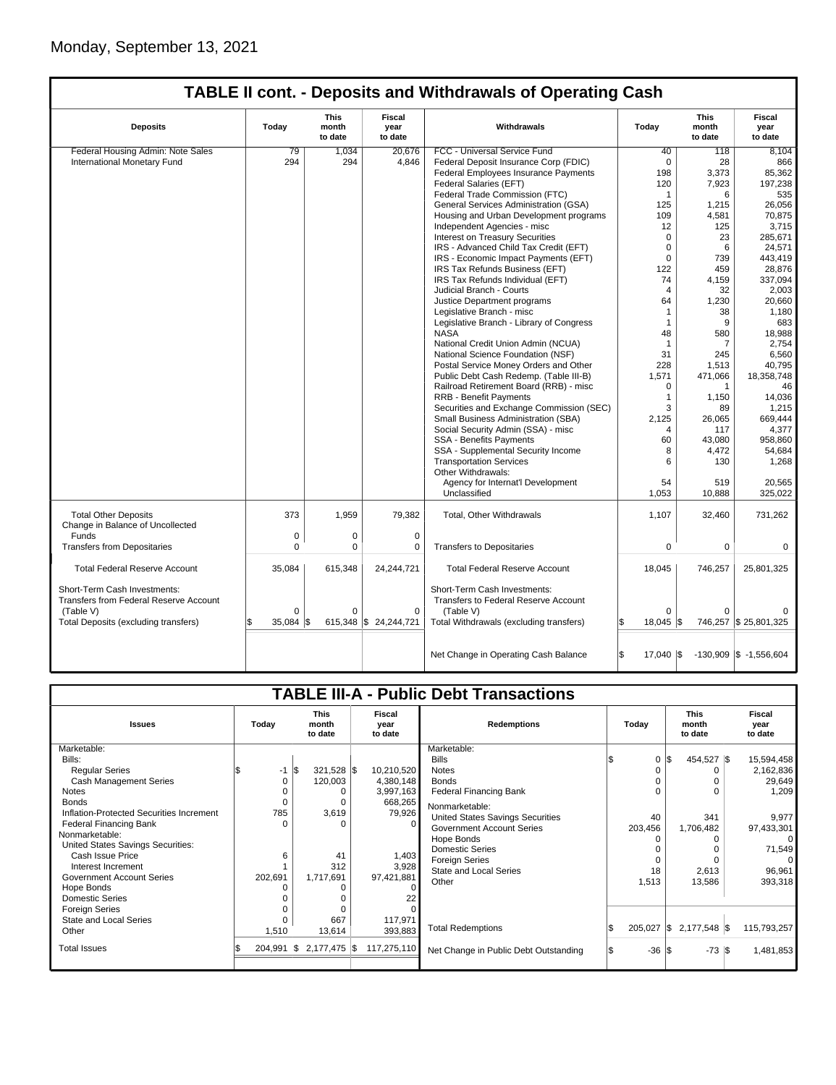| <b>Deposits</b>                                                               | Today    | This<br>month<br>to date | <b>Fiscal</b><br>vear<br>to date | Withdrawals                                                                 | Todav           | This<br>month<br>to date | <b>Fiscal</b><br>vear<br>to date |
|-------------------------------------------------------------------------------|----------|--------------------------|----------------------------------|-----------------------------------------------------------------------------|-----------------|--------------------------|----------------------------------|
| Federal Housing Admin: Note Sales                                             | 79       | 1,034                    | 20.676                           | FCC - Universal Service Fund                                                | 40              | 118                      | 8.104                            |
| International Monetary Fund                                                   | 294      | 294                      | 4,846                            | Federal Deposit Insurance Corp (FDIC)                                       | $\mathbf 0$     | 28                       | 866                              |
|                                                                               |          |                          |                                  | Federal Employees Insurance Payments                                        | 198             | 3,373                    | 85,362                           |
|                                                                               |          |                          |                                  | Federal Salaries (EFT)                                                      | 120             | 7,923                    | 197,238                          |
|                                                                               |          |                          |                                  | Federal Trade Commission (FTC)                                              | $\mathbf{1}$    | 6                        | 535                              |
|                                                                               |          |                          |                                  | General Services Administration (GSA)                                       | 125             | 1,215                    | 26,056                           |
|                                                                               |          |                          |                                  | Housing and Urban Development programs                                      | 109             | 4,581                    | 70,875                           |
|                                                                               |          |                          |                                  | Independent Agencies - misc                                                 | 12              | 125                      | 3,715                            |
|                                                                               |          |                          |                                  | Interest on Treasury Securities                                             | $\Omega$        | 23                       | 285.671                          |
|                                                                               |          |                          |                                  | IRS - Advanced Child Tax Credit (EFT)                                       | $\Omega$        | 6                        | 24.571                           |
|                                                                               |          |                          |                                  | IRS - Economic Impact Payments (EFT)                                        | $\mathbf 0$     | 739                      | 443,419                          |
|                                                                               |          |                          |                                  | IRS Tax Refunds Business (EFT)                                              | 122             | 459                      | 28,876                           |
|                                                                               |          |                          |                                  | IRS Tax Refunds Individual (EFT)                                            | 74              | 4,159                    | 337,094                          |
|                                                                               |          |                          |                                  | Judicial Branch - Courts                                                    | $\overline{4}$  | 32                       | 2,003                            |
|                                                                               |          |                          |                                  | Justice Department programs                                                 | 64              | 1,230                    | 20,660                           |
|                                                                               |          |                          |                                  | Legislative Branch - misc                                                   | $\mathbf{1}$    | 38                       | 1,180                            |
|                                                                               |          |                          |                                  | Legislative Branch - Library of Congress                                    | $\mathbf{1}$    | 9                        | 683                              |
|                                                                               |          |                          |                                  | <b>NASA</b>                                                                 | 48              | 580                      | 18,988                           |
|                                                                               |          |                          |                                  | National Credit Union Admin (NCUA)                                          | $\mathbf{1}$    | 7                        | 2,754                            |
|                                                                               |          |                          |                                  | National Science Foundation (NSF)                                           | 31              | 245                      | 6,560                            |
|                                                                               |          |                          |                                  | Postal Service Money Orders and Other                                       | 228             | 1,513                    | 40,795                           |
|                                                                               |          |                          |                                  | Public Debt Cash Redemp. (Table III-B)                                      | 1,571           | 471,066                  | 18,358,748                       |
|                                                                               |          |                          |                                  | Railroad Retirement Board (RRB) - misc                                      | $\Omega$        | $\mathbf{1}$             | 46                               |
|                                                                               |          |                          |                                  | <b>RRB - Benefit Payments</b>                                               | $\mathbf{1}$    | 1,150                    | 14,036                           |
|                                                                               |          |                          |                                  | Securities and Exchange Commission (SEC)                                    | 3               | 89                       | 1,215                            |
|                                                                               |          |                          |                                  | Small Business Administration (SBA)                                         | 2,125           | 26,065                   | 669.444                          |
|                                                                               |          |                          |                                  | Social Security Admin (SSA) - misc                                          | $\overline{4}$  | 117                      | 4,377                            |
|                                                                               |          |                          |                                  | <b>SSA - Benefits Payments</b>                                              | 60              | 43,080                   | 958,860                          |
|                                                                               |          |                          |                                  | SSA - Supplemental Security Income                                          | 8               | 4,472                    | 54,684                           |
|                                                                               |          |                          |                                  | <b>Transportation Services</b>                                              | 6               | 130                      | 1,268                            |
|                                                                               |          |                          |                                  | Other Withdrawals:                                                          |                 |                          |                                  |
|                                                                               |          |                          |                                  | Agency for Internat'l Development                                           | 54              | 519                      | 20,565                           |
|                                                                               |          |                          |                                  | Unclassified                                                                | 1,053           | 10,888                   | 325,022                          |
| <b>Total Other Deposits</b><br>Change in Balance of Uncollected               | 373      | 1,959                    | 79,382                           | Total, Other Withdrawals                                                    | 1,107           | 32,460                   | 731,262                          |
| Funds                                                                         | 0        | 0                        | $\pmb{0}$                        |                                                                             |                 |                          |                                  |
| <b>Transfers from Depositaries</b>                                            | 0        | 0                        | 0                                | <b>Transfers to Depositaries</b>                                            | 0               | 0                        | 0                                |
| <b>Total Federal Reserve Account</b>                                          | 35,084   | 615,348                  | 24,244,721                       | <b>Total Federal Reserve Account</b>                                        | 18,045          | 746,257                  | 25,801,325                       |
| Short-Term Cash Investments:<br><b>Transfers from Federal Reserve Account</b> | $\Omega$ | $\Omega$                 | $\Omega$                         | Short-Term Cash Investments:<br><b>Transfers to Federal Reserve Account</b> | $\Omega$        | $\Omega$                 |                                  |
| (Table V)<br>Total Deposits (excluding transfers)                             | 35.084   |                          | 615,348 \$24,244,721             | (Table V)<br>Total Withdrawals (excluding transfers)                        | $18.045$ \\$    |                          | 746,257 \$ 25,801,325            |
|                                                                               |          |                          |                                  |                                                                             |                 |                          |                                  |
|                                                                               |          |                          |                                  | Net Change in Operating Cash Balance                                        | \$<br>17,040 \$ |                          | $-130,909$ \$ $-1,556,604$       |

|                                                                                                                                                                                                                                                                                                                                                                                                                                                | <b>TABLE III-A - Public Debt Transactions</b>                        |                                                                                             |                                                                                                                                |                                                                                                                                                                                                                                                                                                                                                                        |                                                          |                                                                                                                        |                                                                                                                                                      |  |  |  |  |
|------------------------------------------------------------------------------------------------------------------------------------------------------------------------------------------------------------------------------------------------------------------------------------------------------------------------------------------------------------------------------------------------------------------------------------------------|----------------------------------------------------------------------|---------------------------------------------------------------------------------------------|--------------------------------------------------------------------------------------------------------------------------------|------------------------------------------------------------------------------------------------------------------------------------------------------------------------------------------------------------------------------------------------------------------------------------------------------------------------------------------------------------------------|----------------------------------------------------------|------------------------------------------------------------------------------------------------------------------------|------------------------------------------------------------------------------------------------------------------------------------------------------|--|--|--|--|
| <b>Issues</b>                                                                                                                                                                                                                                                                                                                                                                                                                                  | Today                                                                | <b>This</b><br>Fiscal<br>month<br>year<br>to date<br>to date                                |                                                                                                                                | <b>Redemptions</b>                                                                                                                                                                                                                                                                                                                                                     | Today                                                    | <b>This</b><br>month<br>to date                                                                                        | Fiscal<br>year<br>to date                                                                                                                            |  |  |  |  |
| Marketable:<br>Bills:<br><b>Regular Series</b><br><b>Cash Management Series</b><br>Notes<br><b>Bonds</b><br>Inflation-Protected Securities Increment<br><b>Federal Financing Bank</b><br>Nonmarketable:<br>United States Savings Securities:<br>Cash Issue Price<br>Interest Increment<br>Government Account Series<br>Hope Bonds<br><b>Domestic Series</b><br><b>Foreign Series</b><br>State and Local Series<br>Other<br><b>Total Issues</b> | $-1$ $\sqrt{3}$<br>0<br>785<br>6<br>202,691<br>1,510<br>$204,991$ \$ | $321,528$ \$<br>120,003<br>3,619<br>41<br>312<br>1,717,691<br>667<br>13,614<br>2,177,475 \$ | 10,210,520<br>4,380,148<br>3,997,163<br>668,265<br>79,926<br>1,403<br>3,928<br>97,421,881<br>117,971<br>393,883<br>117,275,110 | Marketable:<br><b>Bills</b><br><b>Notes</b><br><b>Bonds</b><br><b>Federal Financing Bank</b><br>Nonmarketable:<br>United States Savings Securities<br><b>Government Account Series</b><br>Hope Bonds<br><b>Domestic Series</b><br><b>Foreign Series</b><br><b>State and Local Series</b><br>Other<br><b>Total Redemptions</b><br>Net Change in Public Debt Outstanding | $\Omega$<br>40<br>203,456<br>18<br>1,513<br>$205,027$ \$ | 454,527 \$<br>\$<br>O<br>0<br>341<br>1,706,482<br>0<br>2,613<br>13,586<br>2,177,548 \$<br>$-36$ $\sqrt{3}$<br>$-73$ \$ | 15,594,458<br>2,162,836<br>29,649<br>1,209<br>9.977<br>97,433,301<br>$\Omega$<br>71,549<br>$\Omega$<br>96,961<br>393,318<br>115,793,257<br>1,481,853 |  |  |  |  |
|                                                                                                                                                                                                                                                                                                                                                                                                                                                |                                                                      |                                                                                             |                                                                                                                                |                                                                                                                                                                                                                                                                                                                                                                        |                                                          |                                                                                                                        |                                                                                                                                                      |  |  |  |  |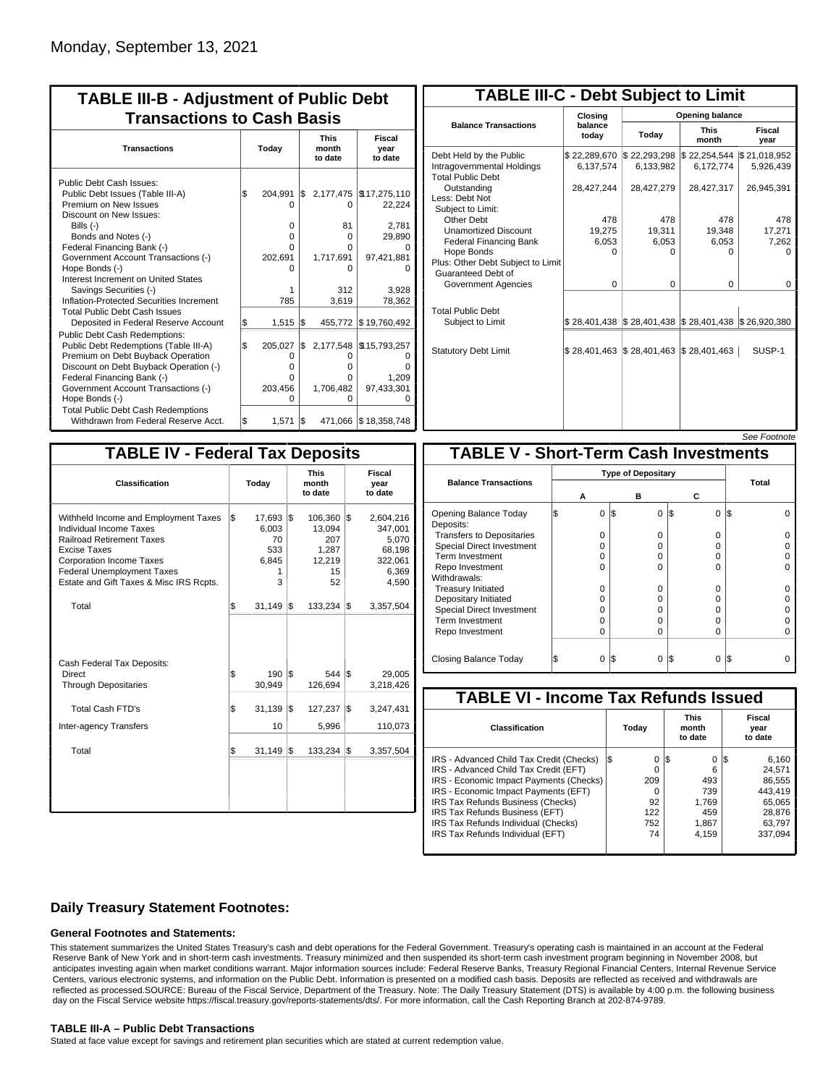| <b>TABLE III-B - Adjustment of Public Debt</b><br><b>Transactions to Cash Basis</b>                                                                                                                                                                                                                                                      |           |                                                 |           |                                            |                                                                          |                                 |                           |  |  |
|------------------------------------------------------------------------------------------------------------------------------------------------------------------------------------------------------------------------------------------------------------------------------------------------------------------------------------------|-----------|-------------------------------------------------|-----------|--------------------------------------------|--------------------------------------------------------------------------|---------------------------------|---------------------------|--|--|
| <b>Transactions</b>                                                                                                                                                                                                                                                                                                                      | Today     |                                                 |           |                                            |                                                                          | <b>This</b><br>month<br>to date | Fiscal<br>year<br>to date |  |  |
| Public Debt Cash Issues:<br>Public Debt Issues (Table III-A)<br>Premium on New Issues<br>Discount on New Issues:<br>Bills (-)<br>Bonds and Notes (-)<br>Federal Financing Bank (-)<br>Government Account Transactions (-)<br>Hope Bonds (-)                                                                                              | l\$       | 204,991<br>n<br>0<br>o<br>O<br>202,691          | l\$       | 0<br>81<br>$\Omega$<br>0<br>1,717,691<br>n | 2,177,475   \$17,275,110<br>22,224<br>2,781<br>29,890<br>97,421,881      |                                 |                           |  |  |
| Interest Increment on United States<br>Savings Securities (-)<br>Inflation-Protected Securities Increment<br><b>Total Public Debt Cash Issues</b><br>Deposited in Federal Reserve Account                                                                                                                                                | S.        | 1<br>785<br>1,515                               | 1\$       | 312<br>3,619                               | 3.928<br>78,362<br>455,772 \$19,760,492                                  |                                 |                           |  |  |
| <b>Public Debt Cash Redemptions:</b><br>Public Debt Redemptions (Table III-A)<br>Premium on Debt Buyback Operation<br>Discount on Debt Buyback Operation (-)<br>Federal Financing Bank (-)<br>Government Account Transactions (-)<br>Hope Bonds (-)<br><b>Total Public Debt Cash Redemptions</b><br>Withdrawn from Federal Reserve Acct. | \$<br>l\$ | 205.027<br>0<br>o<br>0<br>203,456<br>O<br>1,571 | \$<br>I\$ | O<br>o<br>o<br>1,706,482<br>ი              | 2,177,548 \\$15,793,257<br>1,209<br>97,433,301<br>471,066   \$18,358,748 |                                 |                           |  |  |

| <b>TABLE III-C - Debt Subject to Limit</b>                                        |                           |                                                           |                           |                           |  |  |  |  |  |  |
|-----------------------------------------------------------------------------------|---------------------------|-----------------------------------------------------------|---------------------------|---------------------------|--|--|--|--|--|--|
|                                                                                   | Closing                   | Opening balance                                           |                           |                           |  |  |  |  |  |  |
| <b>Balance Transactions</b>                                                       | balance<br>today          | Today                                                     | <b>This</b><br>month      | Fiscal<br>year            |  |  |  |  |  |  |
| Debt Held by the Public<br>Intragovernmental Holdings<br><b>Total Public Debt</b> | \$22,289,670<br>6.137.574 | \$22,293,298<br>6.133.982                                 | \$22,254,544<br>6,172,774 | \$21,018,952<br>5.926.439 |  |  |  |  |  |  |
| Outstanding<br>Less: Debt Not<br>Subject to Limit:                                | 28,427,244                | 28,427,279                                                | 28,427,317                | 26,945,391                |  |  |  |  |  |  |
| Other Debt                                                                        | 478                       | 478                                                       | 478                       | 478                       |  |  |  |  |  |  |
| <b>Unamortized Discount</b>                                                       | 19,275                    | 19,311                                                    | 19,348                    | 17,271                    |  |  |  |  |  |  |
| <b>Federal Financing Bank</b>                                                     | 6,053                     | 6,053                                                     | 6,053                     | 7,262                     |  |  |  |  |  |  |
| Hope Bonds<br>Plus: Other Debt Subject to Limit<br>Guaranteed Debt of             | $\Omega$                  | O                                                         | n                         | U                         |  |  |  |  |  |  |
| Government Agencies                                                               | 0                         | 0                                                         | 0                         | 0                         |  |  |  |  |  |  |
| <b>Total Public Debt</b><br>Subject to Limit                                      |                           | \$28,401,438   \$28,401,438   \$28,401,438   \$26,920,380 |                           |                           |  |  |  |  |  |  |
| <b>Statutory Debt Limit</b>                                                       | \$28,401,463              | \$28,401,463                                              | \$28,401,463              | SUSP-1                    |  |  |  |  |  |  |
|                                                                                   |                           |                                                           |                           |                           |  |  |  |  |  |  |

| See Footnote |
|--------------|
|--------------|

| <b>TABLE IV - Federal Tax Deposits</b>                                                                                                                                                                                                        |                      |                                                                                                |                                                                      |  |  |  |  |  |  |  |
|-----------------------------------------------------------------------------------------------------------------------------------------------------------------------------------------------------------------------------------------------|----------------------|------------------------------------------------------------------------------------------------|----------------------------------------------------------------------|--|--|--|--|--|--|--|
| Classification                                                                                                                                                                                                                                | Today                | <b>This</b><br>month<br>to date                                                                | Fiscal<br>year<br>to date                                            |  |  |  |  |  |  |  |
| Withheld Income and Employment Taxes<br><b>Individual Income Taxes</b><br><b>Railroad Retirement Taxes</b><br>Excise Taxes<br><b>Corporation Income Taxes</b><br><b>Federal Unemployment Taxes</b><br>Estate and Gift Taxes & Misc IRS Rcpts. | \$<br>6,003<br>6,845 | 17,693 \$<br>106,360 \$<br>13,094<br>207<br>70<br>533<br>1,287<br>12,219<br>15<br>1<br>3<br>52 | 2,604,216<br>347,001<br>5,070<br>68,198<br>322,061<br>6,369<br>4,590 |  |  |  |  |  |  |  |
| Total                                                                                                                                                                                                                                         | \$<br>31,149         | 1\$<br>133,234                                                                                 | l\$<br>3,357,504                                                     |  |  |  |  |  |  |  |
| Cash Federal Tax Deposits:<br><b>Direct</b><br><b>Through Depositaries</b>                                                                                                                                                                    | \$<br>30,949         | l\$<br>190<br>$544$ $\sqrt{5}$<br>126,694                                                      | 29,005<br>3,218,426                                                  |  |  |  |  |  |  |  |
| Total Cash FTD's                                                                                                                                                                                                                              | \$<br>31,139         | l\$<br>127,237                                                                                 | l\$<br>3,247,431                                                     |  |  |  |  |  |  |  |
| Inter-agency Transfers                                                                                                                                                                                                                        |                      | 10<br>5,996                                                                                    | 110,073                                                              |  |  |  |  |  |  |  |
| Total                                                                                                                                                                                                                                         | \$<br>31,149         | İ\$<br>133,234                                                                                 | 1\$<br>3,357,504                                                     |  |  |  |  |  |  |  |
|                                                                                                                                                                                                                                               |                      |                                                                                                |                                                                      |  |  |  |  |  |  |  |

|                                                          |   |   |                 |          | <i><b>JEE FUULIUIE</b></i> |  |  |  |
|----------------------------------------------------------|---|---|-----------------|----------|----------------------------|--|--|--|
| <b>TABLE V - Short-Term Cash Investments</b>             |   |   |                 |          |                            |  |  |  |
| <b>Type of Depositary</b><br><b>Balance Transactions</b> |   |   |                 |          | <b>Total</b>               |  |  |  |
|                                                          | А |   | в               | c        |                            |  |  |  |
| Opening Balance Today<br>Deposits:                       |   | 0 | 1\$<br>$\Omega$ | 0<br>1\$ | l\$                        |  |  |  |
| <b>Transfers to Depositaries</b>                         |   | O | 0               | 0        |                            |  |  |  |
| <b>Special Direct Investment</b>                         |   | O | 0               | 0        |                            |  |  |  |
| Term Investment                                          |   | O | $\Omega$        | O        |                            |  |  |  |
| Repo Investment                                          |   | O | $\Omega$        | O        |                            |  |  |  |
| Withdrawals:                                             |   |   |                 |          |                            |  |  |  |
| <b>Treasury Initiated</b>                                |   | O | $\Omega$        | O        |                            |  |  |  |
| Depositary Initiated                                     |   | O | 0               | 0        |                            |  |  |  |
| <b>Special Direct Investment</b>                         |   | U | 0               | 0        |                            |  |  |  |
| <b>Term Investment</b>                                   |   | O | 0               | O        |                            |  |  |  |
| Repo Investment                                          |   | 0 | $\Omega$        | 0        |                            |  |  |  |
| Closing Balance Today                                    |   | 0 | I\$<br>0        | I\$<br>0 | I\$                        |  |  |  |

| <b>TABLE VI - Income Tax Refunds Issued</b> |    |       |    |                                 |                           |         |  |  |  |
|---------------------------------------------|----|-------|----|---------------------------------|---------------------------|---------|--|--|--|
| <b>Classification</b>                       |    | Today |    | <b>This</b><br>month<br>to date | Fiscal<br>year<br>to date |         |  |  |  |
| IRS - Advanced Child Tax Credit (Checks)    | 13 | 0     | 13 | 0                               | 125                       | 6.160   |  |  |  |
| IRS - Advanced Child Tax Credit (EFT)       |    | 0     |    | 6                               |                           | 24.571  |  |  |  |
| IRS - Economic Impact Payments (Checks)     |    | 209   |    | 493                             |                           | 86.555  |  |  |  |
| IRS - Economic Impact Payments (EFT)        |    | 0     |    | 739                             |                           | 443.419 |  |  |  |
| IRS Tax Refunds Business (Checks)           |    | 92    |    | 1.769                           |                           | 65.065  |  |  |  |
| IRS Tax Refunds Business (EFT)              |    | 122   |    | 459                             |                           | 28,876  |  |  |  |
| IRS Tax Refunds Individual (Checks)         |    | 752   |    | 1,867                           |                           | 63.797  |  |  |  |
| IRS Tax Refunds Individual (EFT)            |    | 74    |    | 4.159                           |                           | 337.094 |  |  |  |
|                                             |    |       |    |                                 |                           |         |  |  |  |

### **Daily Treasury Statement Footnotes:**

#### **General Footnotes and Statements:**

This statement summarizes the United States Treasury's cash and debt operations for the Federal Government. Treasury's operating cash is maintained in an account at the Federal Reserve Bank of New York and in short-term cash investments. Treasury minimized and then suspended its short-term cash investment program beginning in November 2008, but anticipates investing again when market conditions warrant. Major information sources include: Federal Reserve Banks, Treasury Regional Financial Centers, Internal Revenue Service Centers, various electronic systems, and information on the Public Debt. Information is presented on a modified cash basis. Deposits are reflected as received and withdrawals are reflected as processed.SOURCE: Bureau of the Fiscal Service, Department of the Treasury. Note: The Daily Treasury Statement (DTS) is available by 4:00 p.m. the following business day on the Fiscal Service website https://fiscal.treasury.gov/reports-statements/dts/. For more information, call the Cash Reporting Branch at 202-874-9789.

#### **TABLE III-A – Public Debt Transactions**

Stated at face value except for savings and retirement plan securities which are stated at current redemption value.